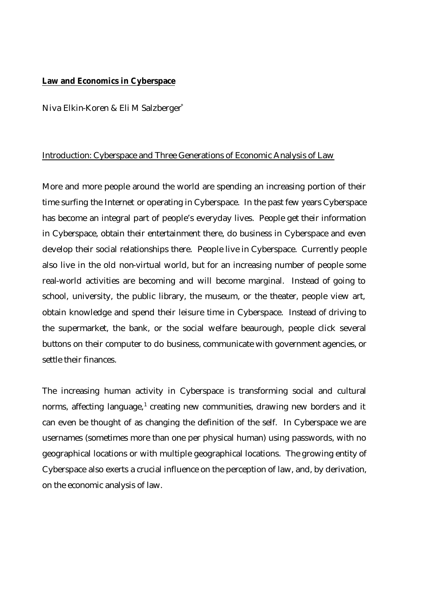## **Law and Economics in Cyberspace**

Niva Elkin-Koren & Eli M Salzberger\*

## Introduction: Cyberspace and Three Generations of Economic Analysis of Law

More and more people around the world are spending an increasing portion of their time surfing the Internet or operating in Cyberspace. In the past few years Cyberspace has become an integral part of people's everyday lives. People get their information in Cyberspace, obtain their entertainment there, do business in Cyberspace and even develop their social relationships there. People live in Cyberspace. Currently people also live in the old non-virtual world, but for an increasing number of people some real-world activities are becoming and will become marginal. Instead of going to school, university, the public library, the museum, or the theater, people view art, obtain knowledge and spend their leisure time in Cyberspace. Instead of driving to the supermarket, the bank, or the social welfare beaurough, people click several buttons on their computer to do business, communicate with government agencies, or settle their finances.

The increasing human activity in Cyberspace is transforming social and cultural norms, affecting language,<sup>1</sup> creating new communities, drawing new borders and it can even be thought of as changing the definition of the self. In Cyberspace we are usernames (sometimes more than one per physical human) using passwords, with no geographical locations or with multiple geographical locations. The growing entity of Cyberspace also exerts a crucial influence on the perception of law, and, by derivation, on the economic analysis of law.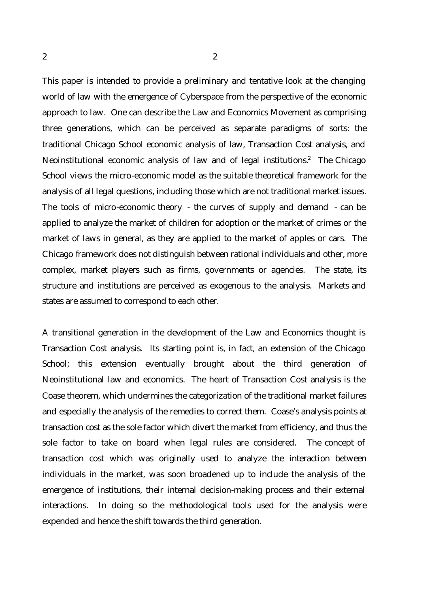This paper is intended to provide a preliminary and tentative look at the changing world of law with the emergence of Cyberspace from the perspective of the economic approach to law. One can describe the Law and Economics Movement as comprising three generations, which can be perceived as separate paradigms of sorts: the traditional Chicago School economic analysis of law, Transaction Cost analysis, and Neoinstitutional economic analysis of law and of legal institutions.<sup>2</sup> The Chicago School views the micro-economic model as the suitable theoretical framework for the analysis of all legal questions, including those which are not traditional market issues. The tools of micro-economic theory - the curves of supply and demand - can be applied to analyze the market of children for adoption or the market of crimes or the market of laws in general, as they are applied to the market of apples or cars. The Chicago framework does not distinguish between rational individuals and other, more complex, market players such as firms, governments or agencies. The state, its structure and institutions are perceived as exogenous to the analysis. Markets and states are assumed to correspond to each other.

A transitional generation in the development of the Law and Economics thought is Transaction Cost analysis. Its starting point is, in fact, an extension of the Chicago School; this extension eventually brought about the third generation of Neoinstitutional law and economics. The heart of Transaction Cost analysis is the Coase theorem, which undermines the categorization of the traditional market failures and especially the analysis of the remedies to correct them. Coase's analysis points at transaction cost as the sole factor which divert the market from efficiency, and thus the sole factor to take on board when legal rules are considered. The concept of transaction cost which was originally used to analyze the interaction between individuals in the market, was soon broadened up to include the analysis of the emergence of institutions, their internal decision-making process and their external interactions. In doing so the methodological tools used for the analysis were expended and hence the shift towards the third generation.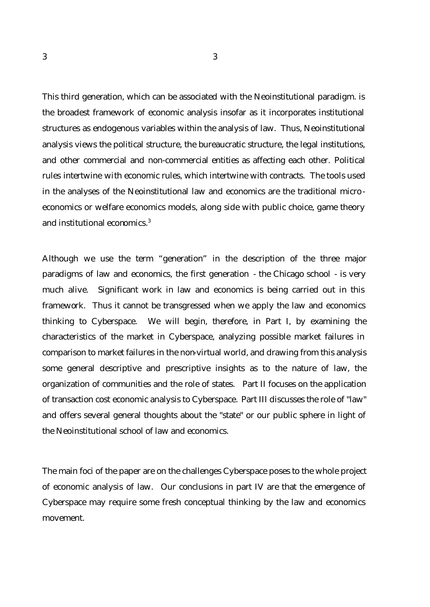This third generation, which can be associated with the Neoinstitutional paradigm. is the broadest framework of economic analysis insofar as it incorporates institutional structures as endogenous variables within the analysis of law. Thus, Neoinstitutional analysis views the political structure, the bureaucratic structure, the legal institutions, and other commercial and non-commercial entities as affecting each other. Political rules intertwine with economic rules, which intertwine with contracts. The tools used in the analyses of the Neoinstitutional law and economics are the traditional microeconomics or welfare economics models, along side with public choice, game theory and institutional economics.<sup>3</sup>

Although we use the term "generation" in the description of the three major paradigms of law and economics, the first generation - the Chicago school - is very much alive. Significant work in law and economics is being carried out in this framework. Thus it cannot be transgressed when we apply the law and economics thinking to Cyberspace. We will begin, therefore, in Part I, by examining the characteristics of the market in Cyberspace, analyzing possible market failures in comparison to market failures in the non-virtual world, and drawing from this analysis some general descriptive and prescriptive insights as to the nature of law, the organization of communities and the role of states. Part II focuses on the application of transaction cost economic analysis to Cyberspace. Part III discusses the role of "law" and offers several general thoughts about the "state" or our public sphere in light of the Neoinstitutional school of law and economics.

The main foci of the paper are on the challenges Cyberspace poses to the whole project of economic analysis of law. Our conclusions in part IV are that the emergence of Cyberspace may require some fresh conceptual thinking by the law and economics movement.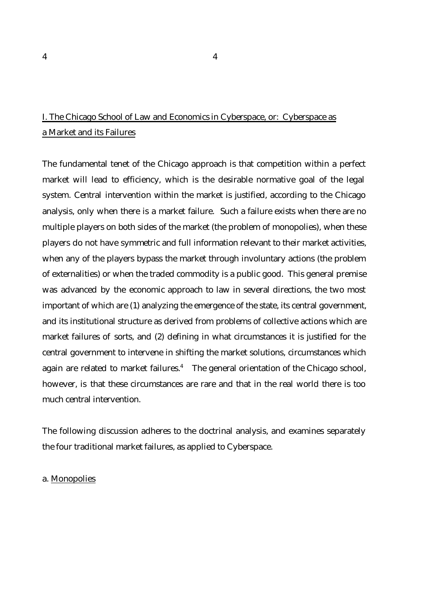# I. The Chicago School of Law and Economics in Cyberspace, or: Cyberspace as a Market and its Failures

The fundamental tenet of the Chicago approach is that competition within a perfect market will lead to efficiency, which is the desirable normative goal of the legal system. Central intervention within the market is justified, according to the Chicago analysis, only when there is a market failure. Such a failure exists when there are no multiple players on both sides of the market (the problem of monopolies), when these players do not have symmetric and full information relevant to their market activities, when any of the players bypass the market through involuntary actions (the problem of externalities) or when the traded commodity is a public good. This general premise was advanced by the economic approach to law in several directions, the two most important of which are (1) analyzing the emergence of the state, its central government, and its institutional structure as derived from problems of collective actions which are market failures of sorts, and (2) defining in what circumstances it is justified for the central government to intervene in shifting the market solutions, circumstances which again are related to market failures.<sup>4</sup> The general orientation of the Chicago school, however, is that these circumstances are rare and that in the real world there is too much central intervention.

The following discussion adheres to the doctrinal analysis, and examines separately the four traditional market failures, as applied to Cyberspace.

## a. Monopolies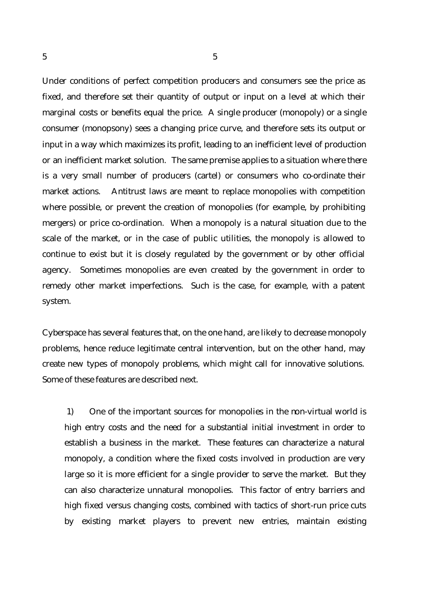Under conditions of perfect competition producers and consumers see the price as fixed, and therefore set their quantity of output or input on a level at which their marginal costs or benefits equal the price. A single producer (monopoly) or a single consumer (monopsony) sees a changing price curve, and therefore sets its output or input in a way which maximizes its profit, leading to an inefficient level of production or an inefficient market solution. The same premise applies to a situation where there is a very small number of producers (cartel) or consumers who co-ordinate their market actions. Antitrust laws are meant to replace monopolies with competition where possible, or prevent the creation of monopolies (for example, by prohibiting mergers) or price co-ordination. When a monopoly is a natural situation due to the scale of the market, or in the case of public utilities, the monopoly is allowed to continue to exist but it is closely regulated by the government or by other official agency. Sometimes monopolies are even created by the government in order to remedy other market imperfections. Such is the case, for example, with a patent system.

Cyberspace has several features that, on the one hand, are likely to decrease monopoly problems, hence reduce legitimate central intervention, but on the other hand, may create new types of monopoly problems, which might call for innovative solutions. Some of these features are described next.

1) One of the important sources for monopolies in the non-virtual world is high entry costs and the need for a substantial initial investment in order to establish a business in the market. These features can characterize a natural monopoly, a condition where the fixed costs involved in production are very large so it is more efficient for a single provider to serve the market. But they can also characterize unnatural monopolies. This factor of entry barriers and high fixed versus changing costs, combined with tactics of short-run price cuts by existing market players to prevent new entries, maintain existing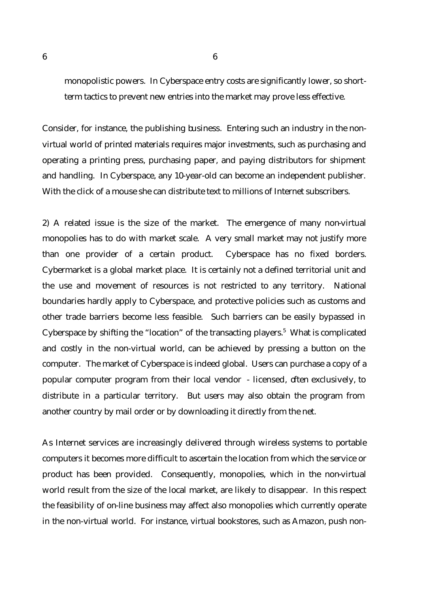monopolistic powers. In Cyberspace entry costs are significantly lower, so shortterm tactics to prevent new entries into the market may prove less effective.

Consider, for instance, the publishing business. Entering such an industry in the nonvirtual world of printed materials requires major investments, such as purchasing and operating a printing press, purchasing paper, and paying distributors for shipment and handling. In Cyberspace, any 10-year-old can become an independent publisher. With the click of a mouse she can distribute text to millions of Internet subscribers.

2) A related issue is the size of the market. The emergence of many non-virtual monopolies has to do with market scale. A very small market may not justify more than one provider of a certain product. Cyberspace has no fixed borders. Cybermarket is a global market place. It is certainly not a defined territorial unit and the use and movement of resources is not restricted to any territory. National boundaries hardly apply to Cyberspace, and protective policies such as customs and other trade barriers become less feasible. Such barriers can be easily bypassed in Cyberspace by shifting the "location" of the transacting players.<sup>5</sup> What is complicated and costly in the non-virtual world, can be achieved by pressing a button on the computer. The market of Cyberspace is indeed global. Users can purchase a copy of a popular computer program from their local vendor - licensed, often exclusively, to distribute in a particular territory. But users may also obtain the program from another country by mail order or by downloading it directly from the net.

As Internet services are increasingly delivered through wireless systems to portable computers it becomes more difficult to ascertain the location from which the service or product has been provided. Consequently, monopolies, which in the non-virtual world result from the size of the local market, are likely to disappear. In this respect the feasibility of on-line business may affect also monopolies which currently operate in the non-virtual world. For instance, virtual bookstores, such as Amazon, push non-

 $6\qquad \qquad 6$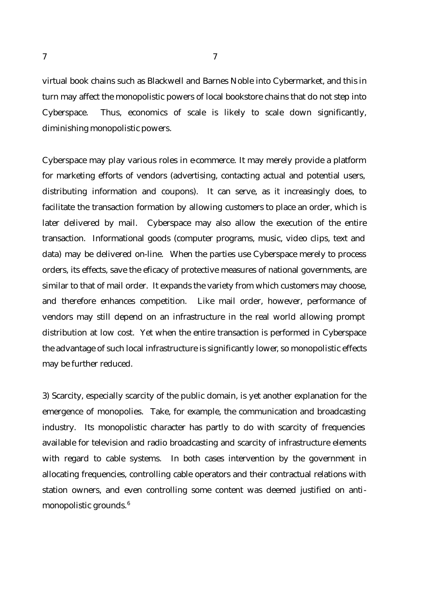virtual book chains such as Blackwell and Barnes Noble into Cybermarket, and this in turn may affect the monopolistic powers of local bookstore chains that do not step into Cyberspace. Thus, economics of scale is likely to scale down significantly, diminishing monopolistic powers.

Cyberspace may play various roles in e-commerce. It may merely provide a platform for marketing efforts of vendors (advertising, contacting actual and potential users, distributing information and coupons). It can serve, as it increasingly does, to facilitate the transaction formation by allowing customers to place an order, which is later delivered by mail. Cyberspace may also allow the execution of the entire transaction. Informational goods (computer programs, music, video clips, text and data) may be delivered on-line. When the parties use Cyberspace merely to process orders, its effects, save the eficacy of protective measures of national governments, are similar to that of mail order. It expands the variety from which customers may choose, and therefore enhances competition. Like mail order, however, performance of vendors may still depend on an infrastructure in the real world allowing prompt distribution at low cost. Yet when the entire transaction is performed in Cyberspace the advantage of such local infrastructure is significantly lower, so monopolistic effects may be further reduced.

3) Scarcity, especially scarcity of the public domain, is yet another explanation for the emergence of monopolies. Take, for example, the communication and broadcasting industry. Its monopolistic character has partly to do with scarcity of frequencies available for television and radio broadcasting and scarcity of infrastructure elements with regard to cable systems. In both cases intervention by the government in allocating frequencies, controlling cable operators and their contractual relations with station owners, and even controlling some content was deemed justified on antimonopolistic grounds. $6$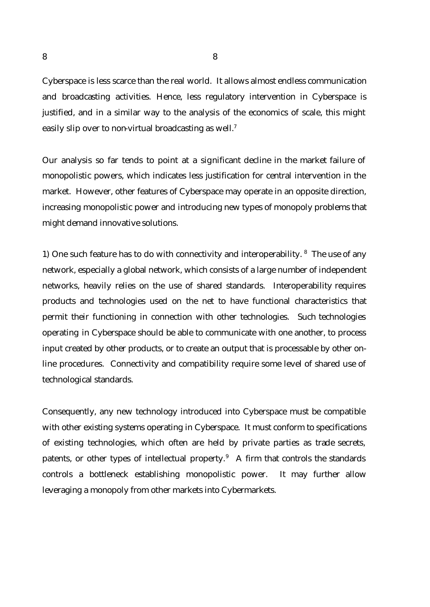Cyberspace is less scarce than the real world. It allows almost endless communication and broadcasting activities. Hence, less regulatory intervention in Cyberspace is justified, and in a similar way to the analysis of the economics of scale, this might easily slip over to non-virtual broadcasting as well.<sup>7</sup>

Our analysis so far tends to point at a significant decline in the market failure of monopolistic powers, which indicates less justification for central intervention in the market. However, other features of Cyberspace may operate in an opposite direction, increasing monopolistic power and introducing new types of monopoly problems that might demand innovative solutions.

1) One such feature has to do with connectivity and interoperability.  $8$  The use of any network, especially a global network, which consists of a large number of independent networks, heavily relies on the use of shared standards. Interoperability requires products and technologies used on the net to have functional characteristics that permit their functioning in connection with other technologies. Such technologies operating in Cyberspace should be able to communicate with one another, to process input created by other products, or to create an output that is processable by other online procedures. Connectivity and compatibility require some level of shared use of technological standards.

Consequently, any new technology introduced into Cyberspace must be compatible with other existing systems operating in Cyberspace. It must conform to specifications of existing technologies, which often are held by private parties as trade secrets, patents, or other types of intellectual property. $9$  A firm that controls the standards controls a bottleneck establishing monopolistic power. It may further allow leveraging a monopoly from other markets into Cybermarkets.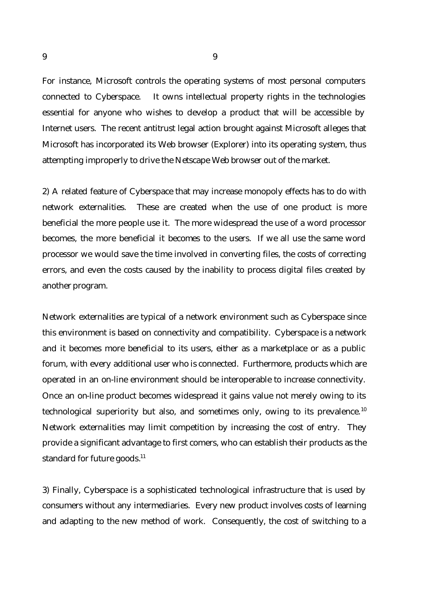For instance, Microsoft controls the operating systems of most personal computers connected to Cyberspace. It owns intellectual property rights in the technologies essential for anyone who wishes to develop a product that will be accessible by Internet users. The recent antitrust legal action brought against Microsoft alleges that Microsoft has incorporated its Web browser (Explorer) into its operating system, thus attempting improperly to drive the Netscape Web browser out of the market.

2) A related feature of Cyberspace that may increase monopoly effects has to do with network externalities. These are created when the use of one product is more beneficial the more people use it. The more widespread the use of a word processor becomes, the more beneficial it becomes to the users. If we all use the same word processor we would save the time involved in converting files, the costs of correcting errors, and even the costs caused by the inability to process digital files created by another program.

Network externalities are typical of a network environment such as Cyberspace since this environment is based on connectivity and compatibility. Cyberspace is a network and it becomes more beneficial to its users, either as a marketplace or as a public forum, with every additional user who is connected. Furthermore, products which are operated in an on-line environment should be interoperable to increase connectivity. Once an on-line product becomes widespread it gains value not merely owing to its technological superiority but also, and sometimes only, owing to its prevalence.<sup>10</sup> Network externalities may limit competition by increasing the cost of entry. They provide a significant advantage to first comers, who can establish their products as the standard for future goods.<sup>11</sup>

3) Finally, Cyberspace is a sophisticated technological infrastructure that is used by consumers without any intermediaries. Every new product involves costs of learning and adapting to the new method of work. Consequently, the cost of switching to a

9 9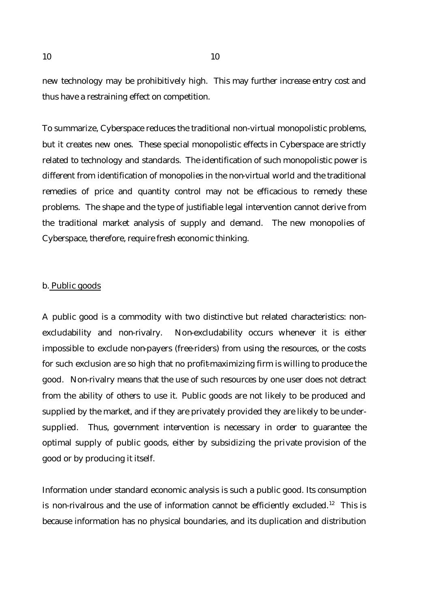new technology may be prohibitively high. This may further increase entry cost and thus have a restraining effect on competition.

To summarize, Cyberspace reduces the traditional non-virtual monopolistic problems, but it creates new ones. These special monopolistic effects in Cyberspace are strictly related to technology and standards. The identification of such monopolistic power is different from identification of monopolies in the non-virtual world and the traditional remedies of price and quantity control may not be efficacious to remedy these problems. The shape and the type of justifiable legal intervention cannot derive from the traditional market analysis of supply and demand. The new monopolies of Cyberspace, therefore, require fresh economic thinking.

# b. Public goods

A public good is a commodity with two distinctive but related characteristics: nonexcludability and non-rivalry. Non-excludability occurs whenever it is either impossible to exclude non-payers (free-riders) from using the resources, or the costs for such exclusion are so high that no profit-maximizing firm is willing to produce the good. Non-rivalry means that the use of such resources by one user does not detract from the ability of others to use it. Public goods are not likely to be produced and supplied by the market, and if they are privately provided they are likely to be undersupplied. Thus, government intervention is necessary in order to guarantee the optimal supply of public goods, either by subsidizing the private provision of the good or by producing it itself.

Information under standard economic analysis is such a public good. Its consumption is non-rivalrous and the use of information cannot be efficiently excluded.<sup>12</sup> This is because information has no physical boundaries, and its duplication and distribution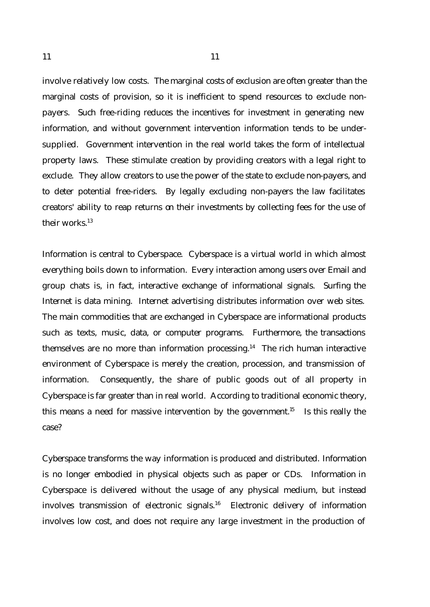involve relatively low costs. The marginal costs of exclusion are often greater than the marginal costs of provision, so it is inefficient to spend resources to exclude nonpayers. Such free-riding reduces the incentives for investment in generating new information, and without government intervention information tends to be undersupplied. Government intervention in the real world takes the form of intellectual property laws. These stimulate creation by providing creators with a legal right to exclude. They allow creators to use the power of the state to exclude non-payers, and to deter potential free-riders. By legally excluding non-payers the law facilitates creators' ability to reap returns on their investments by collecting fees for the use of their works.<sup>13</sup>

Information is central to Cyberspace. Cyberspace is a virtual world in which almost everything boils down to information. Every interaction among users over Email and group chats is, in fact, interactive exchange of informational signals. Surfing the Internet is data mining. Internet advertising distributes information over web sites. The main commodities that are exchanged in Cyberspace are informational products such as texts, music, data, or computer programs. Furthermore, the transactions themselves are no more than information processing.<sup>14</sup> The rich human interactive environment of Cyberspace is merely the creation, procession, and transmission of information. Consequently, the share of public goods out of all property in Cyberspace is far greater than in real world. According to traditional economic theory, this means a need for massive intervention by the government.<sup>15</sup> Is this really the case?

Cyberspace transforms the way information is produced and distributed. Information is no longer embodied in physical objects such as paper or CDs. Information in Cyberspace is delivered without the usage of any physical medium, but instead involves transmission of electronic signals.<sup>16</sup> Electronic delivery of information involves low cost, and does not require any large investment in the production of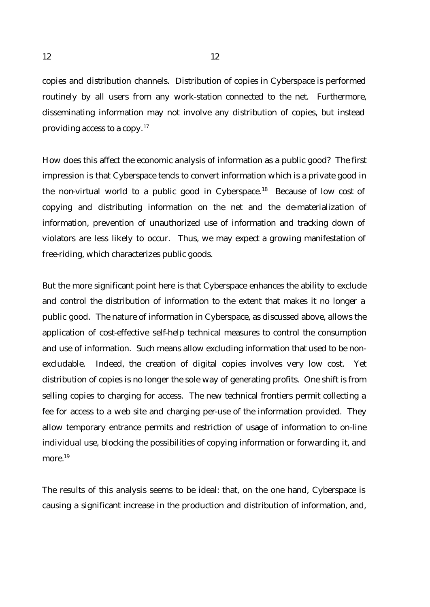$12$  and  $12$ 

copies and distribution channels. Distribution of copies in Cyberspace is performed routinely by all users from any work-station connected to the net. Furthermore, disseminating information may not involve any distribution of copies, but instead providing access to a copy.<sup>17</sup>

How does this affect the economic analysis of information as a public good? The first impression is that Cyberspace tends to convert information which is a private good in the non-virtual world to a public good in Cyberspace.<sup>18</sup> Because of low cost of copying and distributing information on the net and the de-materialization of information, prevention of unauthorized use of information and tracking down of violators are less likely to occur. Thus, we may expect a growing manifestation of free-riding, which characterizes public goods.

But the more significant point here is that Cyberspace enhances the ability to exclude and control the distribution of information to the extent that makes it no longer a public good. The nature of information in Cyberspace, as discussed above, allows the application of cost-effective self-help technical measures to control the consumption and use of information. Such means allow excluding information that used to be nonexcludable. Indeed, the creation of digital copies involves very low cost. Yet distribution of copies is no longer the sole way of generating profits. One shift is from selling copies to charging for access. The new technical frontiers permit collecting a fee for access to a web site and charging per-use of the information provided. They allow temporary entrance permits and restriction of usage of information to on-line individual use, blocking the possibilities of copying information or forwarding it, and  $\rm{more.}^{19}$ 

The results of this analysis seems to be ideal: that, on the one hand, Cyberspace is causing a significant increase in the production and distribution of information, and,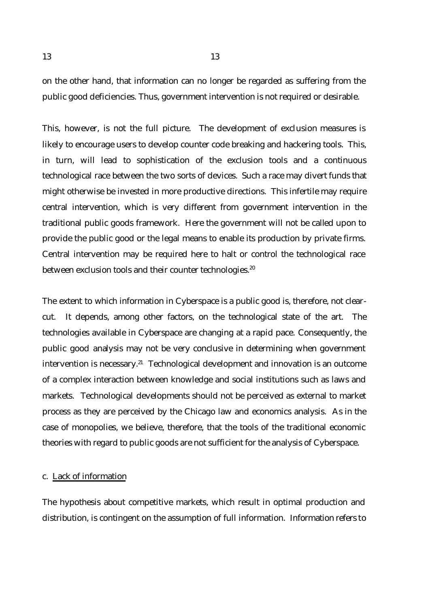on the other hand, that information can no longer be regarded as suffering from the public good deficiencies. Thus, government intervention is not required or desirable.

This, however, is not the full picture. The development of exclusion measures is likely to encourage users to develop counter code breaking and hackering tools. This, in turn, will lead to sophistication of the exclusion tools and a continuous technological race between the two sorts of devices. Such a race may divert funds that might otherwise be invested in more productive directions. This infertile may require central intervention, which is very different from government intervention in the traditional public goods framework. Here the government will not be called upon to provide the public good or the legal means to enable its production by private firms. Central intervention may be required here to halt or control the technological race between exclusion tools and their counter technologies.<sup>20</sup>

The extent to which information in Cyberspace is a public good is, therefore, not clearcut. It depends, among other factors, on the technological state of the art. The technologies available in Cyberspace are changing at a rapid pace. Consequently, the public good analysis may not be very conclusive in determining when government intervention is necessary.<sup>21</sup> Technological development and innovation is an outcome of a complex interaction between knowledge and social institutions such as laws and markets. Technological developments should not be perceived as external to market process as they are perceived by the Chicago law and economics analysis. As in the case of monopolies, we believe, therefore, that the tools of the traditional economic theories with regard to public goods are not sufficient for the analysis of Cyberspace.

### c. Lack of information

The hypothesis about competitive markets, which result in optimal production and distribution, is contingent on the assumption of full information. Information refers to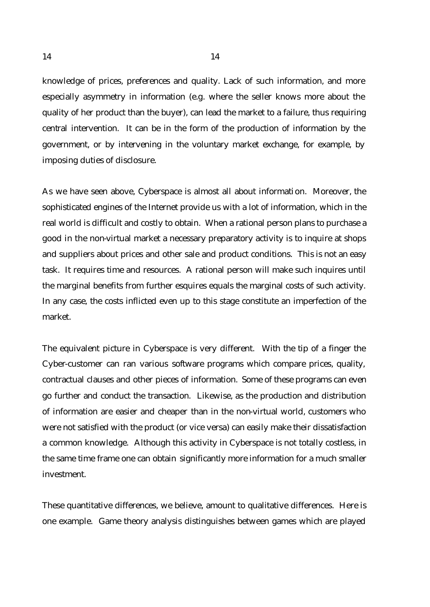knowledge of prices, preferences and quality. Lack of such information, and more especially asymmetry in information (e.g. where the seller knows more about the quality of her product than the buyer), can lead the market to a failure, thus requiring central intervention. It can be in the form of the production of information by the government, or by intervening in the voluntary market exchange, for example, by imposing duties of disclosure.

As we have seen above, Cyberspace is almost all about information. Moreover, the sophisticated engines of the Internet provide us with a lot of information, which in the real world is difficult and costly to obtain. When a rational person plans to purchase a good in the non-virtual market a necessary preparatory activity is to inquire at shops and suppliers about prices and other sale and product conditions. This is not an easy task. It requires time and resources. A rational person will make such inquires until the marginal benefits from further esquires equals the marginal costs of such activity. In any case, the costs inflicted even up to this stage constitute an imperfection of the market.

The equivalent picture in Cyberspace is very different. With the tip of a finger the Cyber-customer can ran various software programs which compare prices, quality, contractual clauses and other pieces of information. Some of these programs can even go further and conduct the transaction. Likewise, as the production and distribution of information are easier and cheaper than in the non-virtual world, customers who were not satisfied with the product (or vice versa) can easily make their dissatisfaction a common knowledge. Although this activity in Cyberspace is not totally costless, in the same time frame one can obtain significantly more information for a much smaller investment.

These quantitative differences, we believe, amount to qualitative differences. Here is one example. Game theory analysis distinguishes between games which are played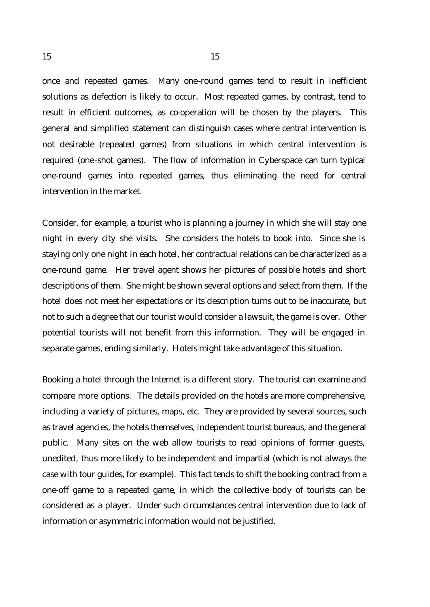once and repeated games. Many one-round games tend to result in inefficient solutions as defection is likely to occur. Most repeated games, by contrast, tend to result in efficient outcomes, as co-operation will be chosen by the players. This general and simplified statement can distinguish cases where central intervention is not desirable (repeated games) from situations in which central intervention is required (one -shot games). The flow of information in Cyberspace can turn typical one-round games into repeated games, thus eliminating the need for central intervention in the market.

Consider, for example, a tourist who is planning a journey in which she will stay one night in every city she visits. She considers the hotels to book into. Since she is staying only one night in each hotel, her contractual relations can be characterized as a one-round game. Her travel agent shows her pictures of possible hotels and short descriptions of them. She might be shown several options and select from them. If the hotel does not meet her expectations or its description turns out to be inaccurate, but not to such a degree that our tourist would consider a lawsuit, the game is over. Other potential tourists will not benefit from this information. They will be engaged in separate games, ending similarly. Hotels might take advantage of this situation.

Booking a hotel through the Internet is a different story. The tourist can examine and compare more options. The details provided on the hotels are more comprehensive, including a variety of pictures, maps, etc. They are provided by several sources, such as travel agencies, the hotels themselves, independent tourist bureaus, and the general public. Many sites on the web allow tourists to read opinions of former guests, unedited, thus more likely to be independent and impartial (which is not always the case with tour guides, for example). This fact tends to shift the booking contract from a one-off game to a repeated game, in which the collective body of tourists can be considered as a player. Under such circumstances central intervention due to lack of information or asymmetric information would not be justified.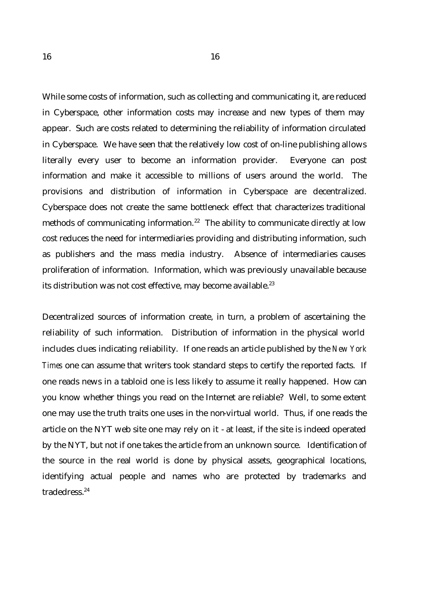While some costs of information, such as collecting and communicating it, are reduced in Cyberspace, other information costs may increase and new types of them may appear. Such are costs related to determining the reliability of information circulated in Cyberspace. We have seen that the relatively low cost of on-line publishing allows literally every user to become an information provider. Everyone can post information and make it accessible to millions of users around the world. The provisions and distribution of information in Cyberspace are decentralized. Cyberspace does not create the same bottleneck effect that characterizes traditional methods of communicating information.<sup>22</sup> The ability to communicate directly at low cost reduces the need for intermediaries providing and distributing information, such as publishers and the mass media industry. Absence of intermediaries causes proliferation of information. Information, which was previously unavailable because its distribution was not cost effective, may become available.<sup>23</sup>

Decentralized sources of information create, in turn, a problem of ascertaining the reliability of such information. Distribution of information in the physical world includes clues indicating reliability. If one reads an article published by the *New York Times* one can assume that writers took standard steps to certify the reported facts. If one reads news in a tabloid one is less likely to assume it really happened. How can you know whether things you read on the Internet are reliable? Well, to some extent one may use the truth traits one uses in the non-virtual world. Thus, if one reads the article on the NYT web site one may rely on it - at least, if the site is indeed operated by the NYT, but not if one takes the article from an unknown source. Identification of the source in the real world is done by physical assets, geographical locations, identifying actual people and names who are protected by trademarks and tradedress.<sup>24</sup>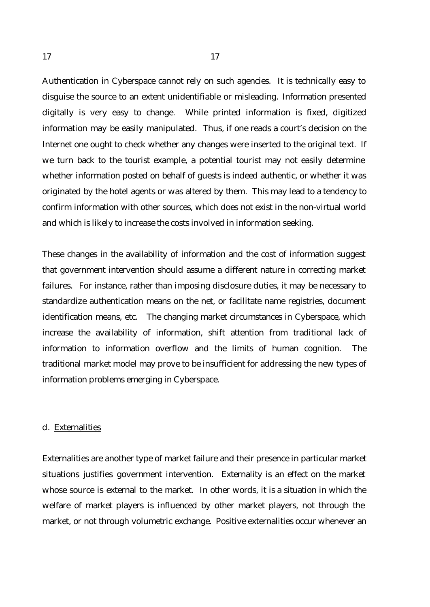Authentication in Cyberspace cannot rely on such agencies. It is technically easy to disguise the source to an extent unidentifiable or misleading. Information presented digitally is very easy to change. While printed information is fixed, digitized information may be easily manipulated. Thus, if one reads a court's decision on the Internet one ought to check whether any changes were inserted to the original text. If we turn back to the tourist example, a potential tourist may not easily determine whether information posted on behalf of guests is indeed authentic, or whether it was originated by the hotel agents or was altered by them. This may lead to a tendency to confirm information with other sources, which does not exist in the non-virtual world and which is likely to increase the costs involved in information seeking.

These changes in the availability of information and the cost of information suggest that government intervention should assume a different nature in correcting market failures. For instance, rather than imposing disclosure duties, it may be necessary to standardize authentication means on the net, or facilitate name registries, document identification means, etc. The changing market circumstances in Cyberspace, which increase the availability of information, shift attention from traditional lack of information to information overflow and the limits of human cognition. The traditional market model may prove to be insufficient for addressing the new types of information problems emerging in Cyberspace.

### d. Externalities

Externalities are another type of market failure and their presence in particular market situations justifies government intervention. Externality is an effect on the market whose source is external to the market. In other words, it is a situation in which the welfare of market players is influenced by other market players, not through the market, or not through volumetric exchange. Positive externalities occur whenever an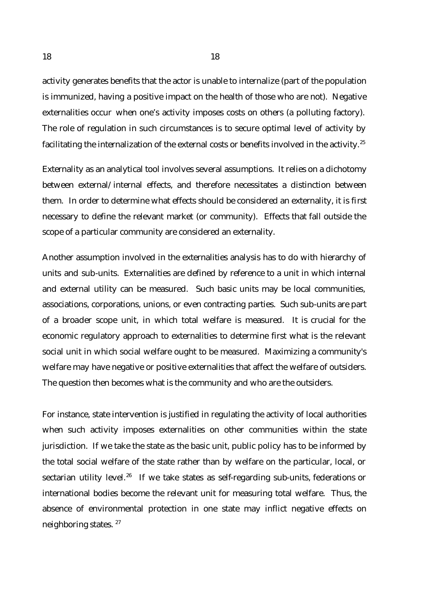activity generates benefits that the actor is unable to internalize (part of the population is immunized, having a positive impact on the health of those who are not). Negative externalities occur when one's activity imposes costs on others (a polluting factory). The role of regulation in such circumstances is to secure optimal level of activity by facilitating the internalization of the external costs or benefits involved in the activity.<sup>25</sup>

Externality as an analytical tool involves several assumptions. It relies on a dichotomy between external/internal effects, and therefore necessitates a distinction between them. In order to determine what effects should be considered an externality, it is first necessary to define the relevant market (or community). Effects that fall outside the scope of a particular community are considered an externality.

Another assumption involved in the externalities analysis has to do with hierarchy of units and sub-units. Externalities are defined by reference to a unit in which internal and external utility can be measured. Such basic units may be local communities, associations, corporations, unions, or even contracting parties. Such sub-units are part of a broader scope unit, in which total welfare is measured. It is crucial for the economic regulatory approach to externalities to determine first what is the relevant social unit in which social welfare ought to be measured. Maximizing a community's welfare may have negative or positive externalities that affect the welfare of outsiders. The question then becomes what is the community and who are the outsiders.

For instance, state intervention is justified in regulating the activity of local authorities when such activity imposes externalities on other communities within the state jurisdiction. If we take the state as the basic unit, public policy has to be informed by the total social welfare of the state rather than by welfare on the particular, local, or sectarian utility level.<sup>26</sup> If we take states as self-regarding sub-units, federations or international bodies become the relevant unit for measuring total welfare. Thus, the absence of environmental protection in one state may inflict negative effects on neighboring states.<sup>27</sup>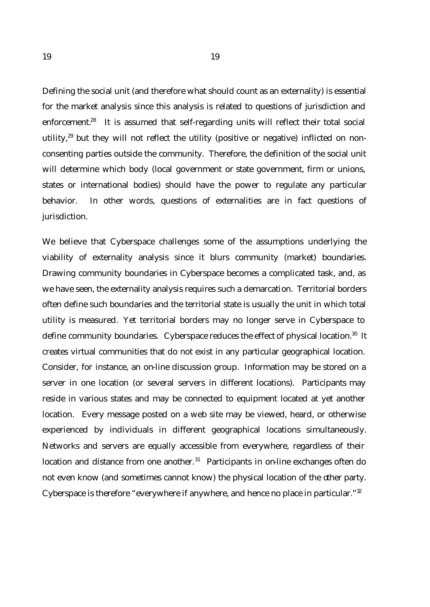Defining the social unit (and therefore what should count as an externality) is essential for the market analysis since this analysis is related to questions of jurisdiction and enforcement.<sup>28</sup> It is assumed that self-regarding units will reflect their total social utility, $29$  but they will not reflect the utility (positive or negative) inflicted on nonconsenting parties outside the community. Therefore, the definition of the social unit will determine which body (local government or state government, firm or unions, states or international bodies) should have the power to regulate any particular behavior. In other words, questions of externalities are in fact questions of jurisdiction.

We believe that Cyberspace challenges some of the assumptions underlying the viability of externality analysis since it blurs community (market) boundaries. Drawing community boundaries in Cyberspace becomes a complicated task, and, as we have seen, the externality analysis requires such a demarcation. Territorial borders often define such boundaries and the territorial state is usually the unit in which total utility is measured. Yet territorial borders may no longer serve in Cyberspace to define community boundaries. Cyberspace reduces the effect of physical location.<sup>30</sup> It creates virtual communities that do not exist in any particular geographical location. Consider, for instance, an on-line discussion group. Information may be stored on a server in one location (or several servers in different locations). Participants may reside in various states and may be connected to equipment located at yet another location. Every message posted on a web site may be viewed, heard, or otherwise experienced by individuals in different geographical locations simultaneously. Networks and servers are equally accessible from everywhere, regardless of their location and distance from one another. $31$  Participants in on-line exchanges often do not even know (and sometimes cannot know) the physical location of the other party. Cyberspace is therefore "everywhere if anywhere, and hence no place in particular."<sup>32</sup>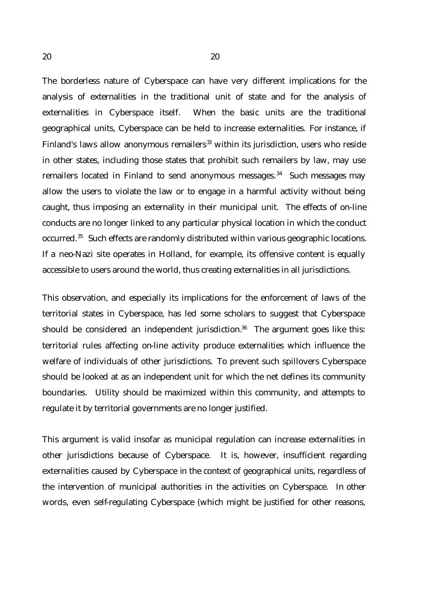The borderless nature of Cyberspace can have very different implications for the analysis of externalities in the traditional unit of state and for the analysis of externalities in Cyberspace itself. When the basic units are the traditional geographical units, Cyberspace can be held to increase externalities. For instance, if Finland's laws allow anonymous remailers<sup>33</sup> within its jurisdiction, users who reside in other states, including those states that prohibit such remailers by law, may use remailers located in Finland to send anonymous messages.<sup>34</sup> Such messages may allow the users to violate the law or to engage in a harmful activity without being caught, thus imposing an externality in their municipal unit. The effects of on-line conducts are no longer linked to any particular physical location in which the conduct occurred.<sup>35</sup> Such effects are randomly distributed within various geographic locations. If a neo-Nazi site operates in Holland, for example, its offensive content is equally accessible to users around the world, thus creating externalities in all jurisdictions.

This observation, and especially its implications for the enforcement of laws of the territorial states in Cyberspace, has led some scholars to suggest that Cyberspace should be considered an independent jurisdiction.<sup>36</sup> The argument goes like this: territorial rules affecting on-line activity produce externalities which influence the welfare of individuals of other jurisdictions. To prevent such spillovers Cyberspace should be looked at as an independent unit for which the net defines its community boundaries. Utility should be maximized within this community, and attempts to regulate it by territorial governments are no longer justified.

This argument is valid insofar as municipal regulation can increase externalities in other jurisdictions because of Cyberspace. It is, however, insufficient regarding externalities caused by Cyberspace in the context of geographical units, regardless of the intervention of municipal authorities in the activities on Cyberspace. In other words, even self-regulating Cyberspace (which might be justified for other reasons,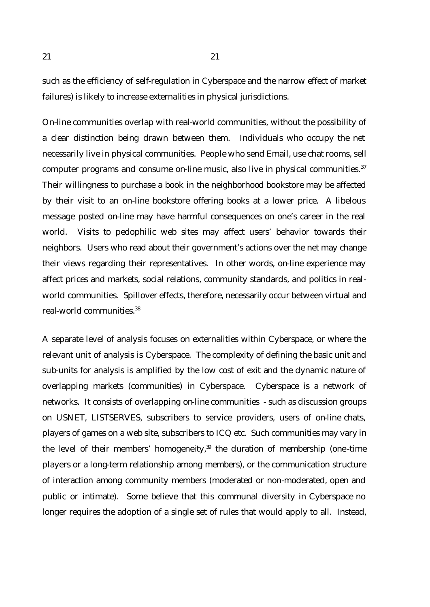such as the efficiency of self-regulation in Cyberspace and the narrow effect of market failures) is likely to increase externalities in physical jurisdictions.

On-line communities overlap with real-world communities, without the possibility of a clear distinction being drawn between them. Individuals who occupy the net necessarily live in physical communities. People who send Email, use chat rooms, sell computer programs and consume on-line music, also live in physical communities. $37$ Their willingness to purchase a book in the neighborhood bookstore may be affected by their visit to an on-line bookstore offering books at a lower price. A libelous message posted on-line may have harmful consequences on one's career in the real world. Visits to pedophilic web sites may affect users' behavior towards their neighbors. Users who read about their government's actions over the net may change their views regarding their representatives. In other words, on-line experience may affect prices and markets, social relations, community standards, and politics in realworld communities. Spillover effects, therefore, necessarily occur between virtual and real-world communities.<sup>38</sup>

A separate level of analysis focuses on externalities within Cyberspace, or where the relevant unit of analysis is Cyberspace. The complexity of defining the basic unit and sub-units for analysis is amplified by the low cost of exit and the dynamic nature of overlapping markets (communities) in Cyberspace. Cyberspace is a network of networks. It consists of overlapping on-line communities - such as discussion groups on USNET, LISTSERVES, subscribers to service providers, users of on-line chats, players of games on a web site, subscribers to ICQ etc. Such communities may vary in the level of their members' homogeneity, $39$  the duration of membership (one-time players or a long-term relationship among members), or the communication structure of interaction among community members (moderated or non-moderated, open and public or intimate). Some believe that this communal diversity in Cyberspace no longer requires the adoption of a single set of rules that would apply to all. Instead,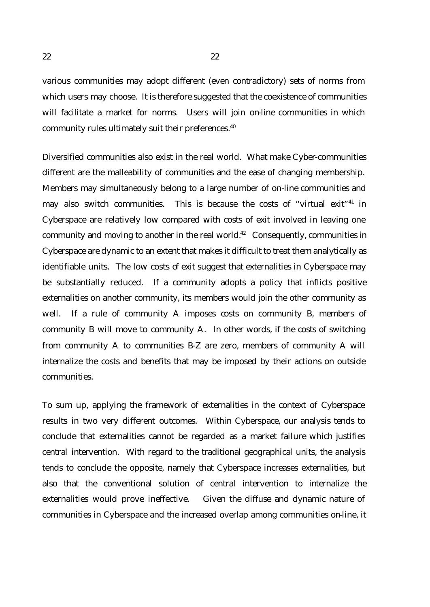various communities may adopt different (even contradictory) sets of norms from which users may choose. It is therefore suggested that the coexistence of communities will facilitate a market for norms. Users will join on-line communities in which community rules ultimately suit their preferences.<sup>40</sup>

Diversified communities also exist in the real world. What make Cyber-communities different are the malleability of communities and the ease of changing membership. Members may simultaneously belong to a large number of on-line communities and may also switch communities. This is because the costs of "virtual exit"<sup>41</sup> in Cyberspace are relatively low compared with costs of exit involved in leaving one community and moving to another in the real world.<sup>42</sup> Consequently, communities in Cyberspace are dynamic to an extent that makes it difficult to treat them analytically as identifiable units. The low costs of exit suggest that externalities in Cyberspace may be substantially reduced. If a community adopts a policy that inflicts positive externalities on another community, its members would join the other community as well. If a rule of community A imposes costs on community B, members of community B will move to community A. In other words, if the costs of switching from community A to communities B-Z are zero, members of community A will internalize the costs and benefits that may be imposed by their actions on outside communities.

To sum up, applying the framework of externalities in the context of Cyberspace results in two very different outcomes. Within Cyberspace, our analysis tends to conclude that externalities cannot be regarded as a market failure which justifies central intervention. With regard to the traditional geographical units, the analysis tends to conclude the opposite, namely that Cyberspace increases externalities, but also that the conventional solution of central intervention to internalize the externalities would prove ineffective. Given the diffuse and dynamic nature of communities in Cyberspace and the increased overlap among communities on-line, it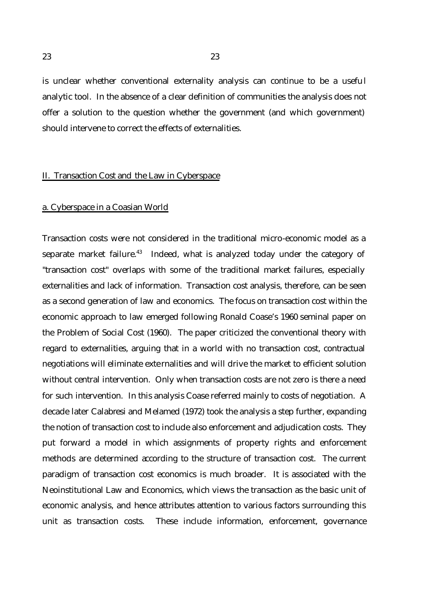is unclear whether conventional externality analysis can continue to be a useful analytic tool. In the absence of a clear definition of communities the analysis does not offer a solution to the question whether the government (and which government) should intervene to correct the effects of externalities.

### II. Transaction Cost and the Law in Cyberspace

### a. Cyberspace in a Coasian World

Transaction costs were not considered in the traditional micro-economic model as a separate market failure.<sup>43</sup> Indeed, what is analyzed today under the category of "transaction cost" overlaps with some of the traditional market failures, especially externalities and lack of information. Transaction cost analysis, therefore, can be seen as a second generation of law and economics. The focus on transaction cost within the economic approach to law emerged following Ronald Coase's 1960 seminal paper on the Problem of Social Cost (1960). The paper criticized the conventional theory with regard to externalities, arguing that in a world with no transaction cost, contractual negotiations will eliminate exte rnalities and will drive the market to efficient solution without central intervention. Only when transaction costs are not zero is there a need for such intervention. In this analysis Coase referred mainly to costs of negotiation. A decade later Calabresi and Melamed (1972) took the analysis a step further, expanding the notion of transaction cost to include also enforcement and adjudication costs. They put forward a model in which assignments of property rights and enforcement methods are determined according to the structure of transaction cost. The current paradigm of transaction cost economics is much broader. It is associated with the Neoinstitutional Law and Economics, which views the transaction as the basic unit of economic analysis, and hence attributes attention to various factors surrounding this unit as transaction costs. These include information, enforcement, governance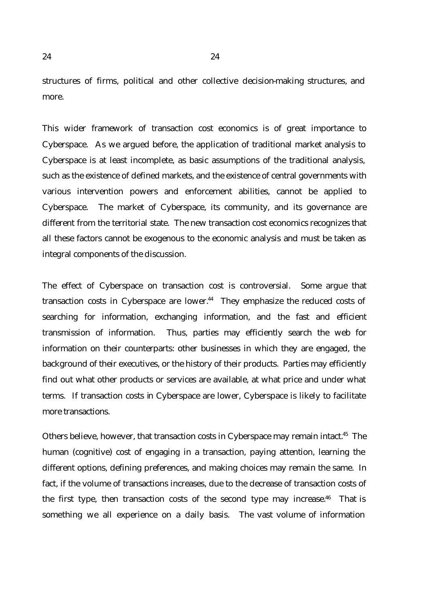structures of firms, political and other collective decision-making structures, and more.

This wider framework of transaction cost economics is of great importance to Cyberspace. As we argued before, the application of traditional market analysis to Cyberspace is at least incomplete, as basic assumptions of the traditional analysis, such as the existence of defined markets, and the existence of central governments with various intervention powers and enforcement abilities, cannot be applied to Cyberspace. The market of Cyberspace, its community, and its governance are different from the territorial state. The new transaction cost economics recognizes that all these factors cannot be exogenous to the economic analysis and must be taken as integral components of the discussion.

The effect of Cyberspace on transaction cost is controversial. Some argue that transaction costs in Cyberspace are lower.<sup>44</sup> They emphasize the reduced costs of searching for information, exchanging information, and the fast and efficient transmission of information. Thus, parties may efficiently search the web for information on their counterparts: other businesses in which they are engaged, the background of their executives, or the history of their products. Parties may efficiently find out what other products or services are available, at what price and under what terms. If transaction costs in Cyberspace are lower, Cyberspace is likely to facilitate more transactions.

Others believe, however, that transaction costs in Cyberspace may remain intact.<sup>45</sup> The human (cognitive) cost of engaging in a transaction, paying attention, learning the different options, defining preferences, and making choices may remain the same. In fact, if the volume of transactions increases, due to the decrease of transaction costs of the first type, then transaction costs of the second type may increase.<sup>46</sup> That is something we all experience on a daily basis. The vast volume of information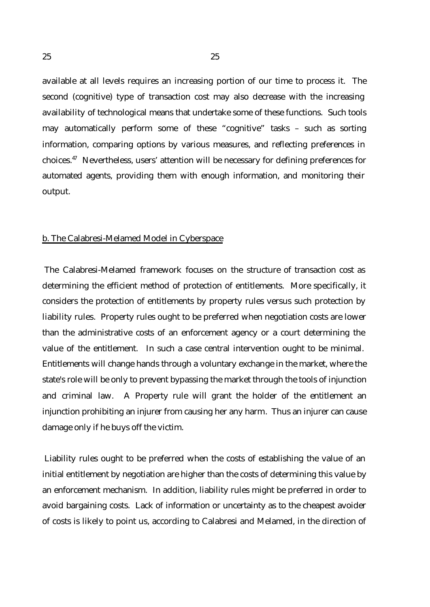available at all levels requires an increasing portion of our time to process it. The second (cognitive) type of transaction cost may also decrease with the increasing availability of technological means that undertake some of these functions. Such tools may automatically perform some of these "cognitive" tasks – such as sorting information, comparing options by various measures, and reflecting preferences in choices.<sup>47</sup> Nevertheless, users' attention will be necessary for defining preferences for automated agents, providing them with enough information, and monitoring their output.

### b. The Calabresi-Melamed Model in Cyberspace

The Calabresi-Melamed framework focuses on the structure of transaction cost as determining the efficient method of protection of entitlements. More specifically, it considers the protection of entitlements by property rules versus such protection by liability rules. Property rules ought to be preferred when negotiation costs are lower than the administrative costs of an enforcement agency or a court determining the value of the entitlement. In such a case central intervention ought to be minimal. Entitlements will change hands through a voluntary exchange in the market, where the state's role will be only to prevent bypassing the market through the tools of injunction and criminal law. A Property rule will grant the holder of the entitlement an injunction prohibiting an injurer from causing her any harm. Thus an injurer can cause damage only if he buys off the victim.

Liability rules ought to be preferred when the costs of establishing the value of an initial entitlement by negotiation are higher than the costs of determining this value by an enforcement mechanism. In addition, liability rules might be preferred in order to avoid bargaining costs. Lack of information or uncertainty as to the cheapest avoider of costs is likely to point us, according to Calabresi and Melamed, in the direction of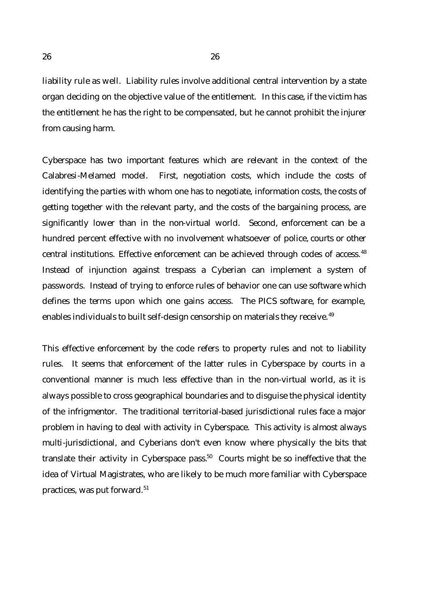liability rule as well. Liability rules involve additional central intervention by a state organ deciding on the objective value of the entitlement. In this case, if the victim has the entitlement he has the right to be compensated, but he cannot prohibit the injurer from causing harm.

Cyberspace has two important features which are relevant in the context of the Calabresi-Melamed model. First, negotiation costs, which include the costs of identifying the parties with whom one has to negotiate, information costs, the costs of getting together with the relevant party, and the costs of the bargaining process, are significantly lower than in the non-virtual world. Second, enforcement can be a hundred percent effective with no involvement whatsoever of police, courts or other central institutions. Effective enforcement can be achieved through codes of access.<sup>48</sup> Instead of injunction against trespass a Cyberian can implement a system of passwords. Instead of trying to enforce rules of behavior one can use software which defines the terms upon which one gains access. The PICS software, for example, enables individuals to built self-design censorship on materials they receive. $49$ 

This effective enforcement by the code refers to property rules and not to liability rules. It seems that enforcement of the latter rules in Cyberspace by courts in a conventional manner is much less effective than in the non-virtual world, as it is always possible to cross geographical boundaries and to disguise the physical identity of the infrigmentor. The traditional territorial-based jurisdictional rules face a major problem in having to deal with activity in Cyberspace. This activity is almost always multi-jurisdictional, and Cyberians don't even know where physically the bits that translate their activity in Cyberspace pass.<sup>50</sup> Courts might be so ineffective that the idea of Virtual Magistrates, who are likely to be much more familiar with Cyberspace practices, was put forward. $51$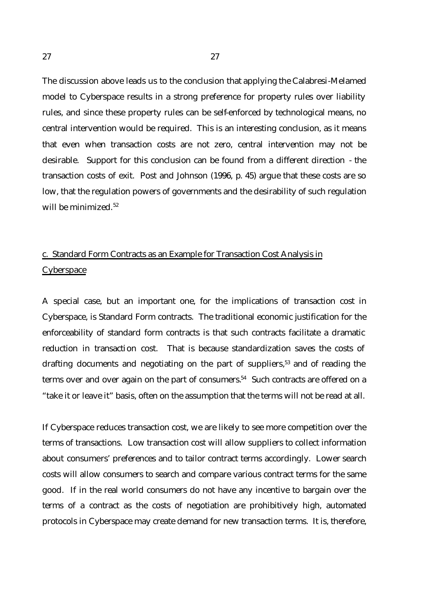The discussion above leads us to the conclusion that applying the Calabresi-Melamed model to Cyberspace results in a strong preference for property rules over liability rules, and since these property rules can be self-enforced by technological means, no central intervention would be required. This is an interesting conclusion, as it means that even when transaction costs are not zero, central intervention may not be desirable. Support for this conclusion can be found from a different direction - the transaction costs of exit. Post and Johnson (1996, p. 45) argue that these costs are so low, that the regulation powers of governments and the desirability of such regulation will be minimized.<sup>52</sup>

# c. Standard Form Contracts as an Example for Transaction Cost Analysis in **Cyberspace**

A special case, but an important one, for the implications of transaction cost in Cyberspace, is Standard Form contracts. The traditional economic justification for the enforceability of standard form contracts is that such contracts facilitate a dramatic reduction in transaction cost. That is because standardization saves the costs of drafting documents and negotiating on the part of suppliers,<sup>53</sup> and of reading the terms over and over again on the part of consumers.<sup>54</sup> Such contracts are offered on a "take it or leave it" basis, often on the assumption that the terms will not be read at all.

If Cyberspace reduces transaction cost, we are likely to see more competition over the terms of transactions. Low transaction cost will allow suppliers to collect information about consumers' preferences and to tailor contract terms accordingly. Lower search costs will allow consumers to search and compare various contract terms for the same good. If in the real world consumers do not have any incentive to bargain over the terms of a contract as the costs of negotiation are prohibitively high, automated protocols in Cyberspace may create demand for new transaction terms. It is, therefore,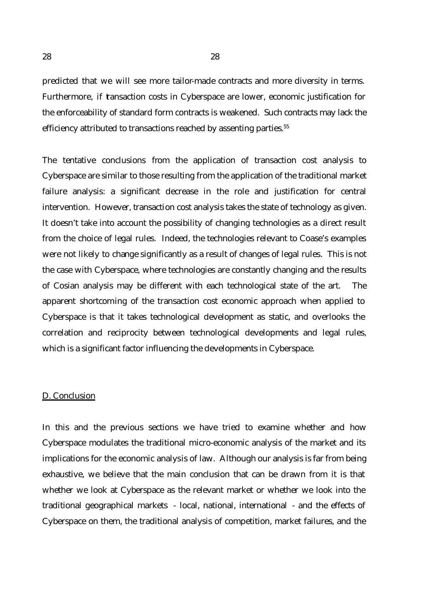predicted that we will see more tailor-made contracts and more diversity in terms. Furthermore, if transaction costs in Cyberspace are lower, economic justification for the enforceability of standard form contracts is weakened. Such contracts may lack the efficiency attributed to transactions reached by assenting parties.<sup>55</sup>

The tentative conclusions from the application of transaction cost analysis to Cyberspace are similar to those resulting from the application of the traditional market failure analysis: a significant decrease in the role and justification for central intervention. However, transaction cost analysis takes the state of technology as given. It doesn't take into account the possibility of changing technologies as a direct result from the choice of legal rules. Indeed, the technologies relevant to Coase's examples were not likely to change significantly as a result of changes of legal rules. This is not the case with Cyberspace, where technologies are constantly changing and the results of Cosian analysis may be different with each technological state of the art. The apparent shortcoming of the transaction cost economic approach when applied to Cyberspace is that it takes technological development as static, and overlooks the correlation and reciprocity between technological developments and legal rules, which is a significant factor influencing the developments in Cyberspace.

## D. Conclusion

In this and the previous sections we have tried to examine whether and how Cyberspace modulates the traditional micro-economic analysis of the market and its implications for the economic analysis of law. Although our analysis is far from being exhaustive, we believe that the main conclusion that can be drawn from it is that whether we look at Cyberspace as the relevant market or whether we look into the traditional geographical markets - local, national, international - and the effects of Cyberspace on them, the traditional analysis of competition, market failures, and the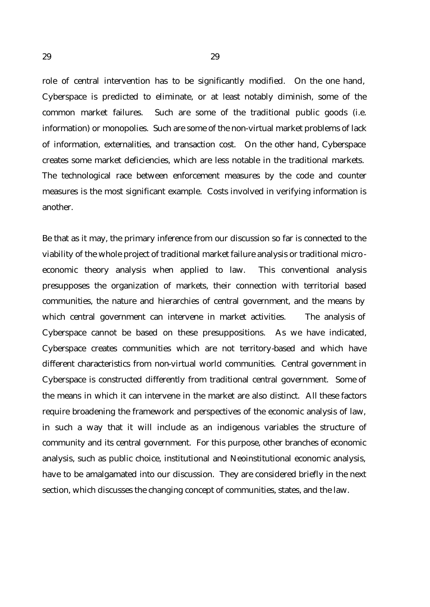role of central intervention has to be significantly modified. On the one hand, Cyberspace is predicted to eliminate, or at least notably diminish, some of the common market failures. Such are some of the traditional public goods (i.e. information) or monopolies. Such are some of the non-virtual market problems of lack of information, externalities, and transaction cost. On the other hand, Cyberspace creates some market deficiencies, which are less notable in the traditional markets. The technological race between enforcement measures by the code and counter measures is the most significant example. Costs involved in verifying information is another.

Be that as it may, the primary inference from our discussion so far is connected to the viability of the whole project of traditional market failure analysis or traditional microeconomic theory analysis when applied to law. This conventional analysis presupposes the organization of markets, their connection with territorial based communities, the nature and hierarchies of central government, and the means by which central government can intervene in market activities. The analysis of Cyberspace cannot be based on these presuppositions. As we have indicated, Cyberspace creates communities which are not territory-based and which have different characteristics from non-virtual world communities. Central government in Cyberspace is constructed differently from traditional central government. Some of the means in which it can intervene in the market are also distinct. All these factors require broadening the framework and perspectives of the economic analysis of law, in such a way that it will include as an indigenous variables the structure of community and its central government. For this purpose, other branches of economic analysis, such as public choice, institutional and Neoinstitutional economic analysis, have to be amalgamated into our discussion. They are considered briefly in the next section, which discusses the changing concept of communities, states, and the law.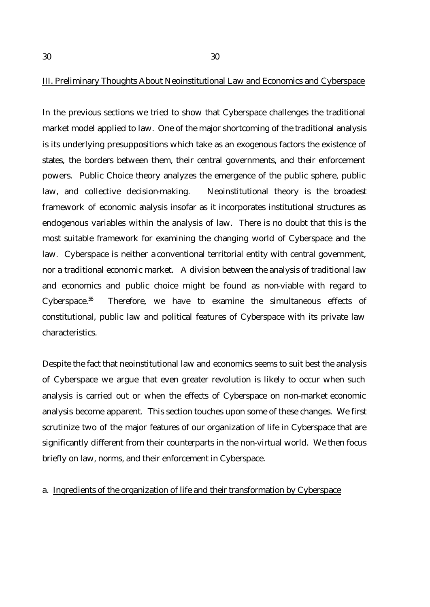## III. Preliminary Thoughts About Neoinstitutional Law and Economics and Cyberspace

In the previous sections we tried to show that Cyberspace challenges the traditional market model applied to law. One of the major shortcoming of the traditional analysis is its underlying presuppositions which take as an exogenous factors the existence of states, the borders between them, their central governments, and their enforcement powers. Public Choice theory analyzes the emergence of the public sphere, public law, and collective decision-making. Neoinstitutional theory is the broadest framework of economic analysis insofar as it incorporates institutional structures as endogenous variables within the analysis of law. There is no doubt that this is the most suitable framework for examining the changing world of Cyberspace and the law. Cyberspace is neither a conventional territorial entity with central government, nor a traditional economic market. A division between the analysis of traditional law and economics and public choice might be found as non-viable with regard to Cyberspace.<sup>56</sup> Therefore, we have to examine the simultaneous effects of constitutional, public law and political features of Cyberspace with its private law characteristics.

Despite the fact that neoinstitutional law and economics seems to suit best the analysis of Cyberspace we argue that even greater revolution is likely to occur when such analysis is carried out or when the effects of Cyberspace on non-market economic analysis become apparent. This section touches upon some of these changes. We first scrutinize two of the major features of our organization of life in Cyberspace that are significantly different from their counterparts in the non-virtual world. We then focus briefly on law, norms, and their enforcement in Cyberspace.

## a. Ingredients of the organization of life and their transformation by Cyberspace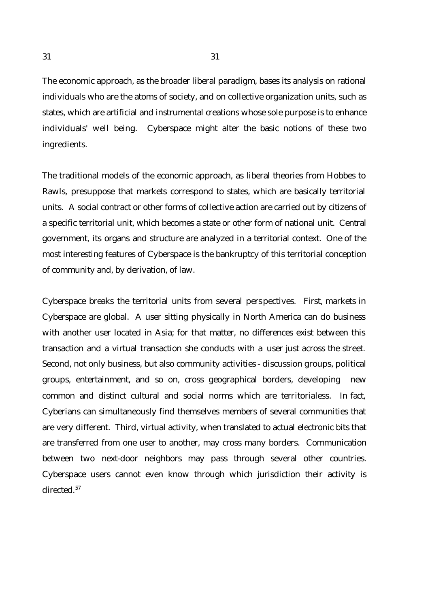The economic approach, as the broader liberal paradigm, bases its analysis on rational individuals who are the atoms of society, and on collective organization units, such as

states, which are artificial and instrumental creations whose sole purpose is to enhance individuals' well being. Cyberspace might alter the basic notions of these two ingredients.

The traditional models of the economic approach, as liberal theories from Hobbes to Rawls, presuppose that markets correspond to states, which are basically territorial units. A social contract or other forms of collective action are carried out by citizens of a specific territorial unit, which becomes a state or other form of national unit. Central government, its organs and structure are analyzed in a territorial context. One of the most interesting features of Cyberspace is the bankruptcy of this territorial conception of community and, by derivation, of law.

Cyberspace breaks the territorial units from several perspectives. First, markets in Cyberspace are global. A user sitting physically in North America can do business with another user located in Asia; for that matter, no differences exist between this transaction and a virtual transaction she conducts with a user just across the street. Second, not only business, but also community activities - discussion groups, political groups, entertainment, and so on, cross geographical borders, developing new common and distinct cultural and social norms which are territorialess. In fact, Cyberians can simultaneously find themselves members of several communities that are very different. Third, virtual activity, when translated to actual electronic bits that are transferred from one user to another, may cross many borders. Communication between two next-door neighbors may pass through several other countries. Cyberspace users cannot even know through which jurisdiction their activity is directed.57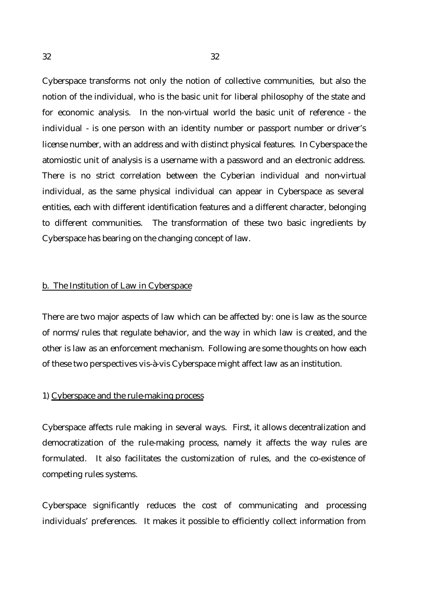Cyberspace transforms not only the notion of collective communities, but also the notion of the individual, who is the basic unit for liberal philosophy of the state and for economic analysis. In the non-virtual world the basic unit of reference - the individual - is one person with an identity number or passport number or driver's license number, with an address and with distinct physical features. In Cyberspace the atomiostic unit of analysis is a username with a password and an electronic address. There is no strict correlation between the Cyberian individual and non-virtual individual, as the same physical individual can appear in Cyberspace as several entities, each with different identification features and a different character, belonging to different communities. The transformation of these two basic ingredients by Cyberspace has bearing on the changing concept of law.

### b. The Institution of Law in Cyberspace

There are two major aspects of law which can be affected by: one is law as the source of norms/rules that regulate behavior, and the way in which law is created, and the other is law as an enforcement mechanism. Following are some thoughts on how each of these two perspectives vis-à-vis Cyberspace might affect law as an institution.

## 1) Cyberspace and the rule-making process

Cyberspace affects rule making in several ways. First, it allows decentralization and democratization of the rule-making process, namely it affects the way rules are formulated. It also facilitates the customization of rules, and the co-existence of competing rules systems.

Cyberspace significantly reduces the cost of communicating and processing individuals' preferences. It makes it possible to efficiently collect information from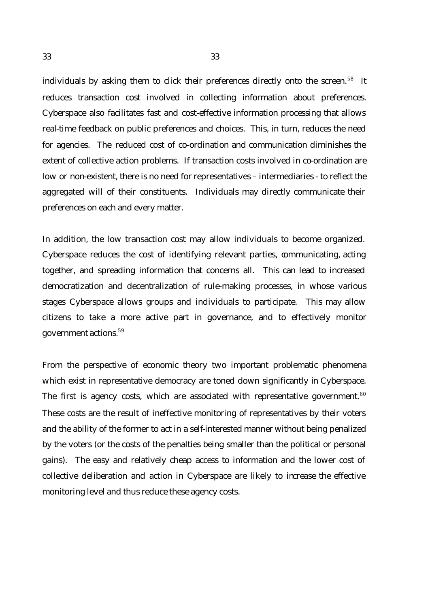individuals by asking them to click their preferences directly onto the screen.<sup>58</sup> It reduces transaction cost involved in collecting information about preferences. Cyberspace also facilitates fast and cost-effective information processing that allows real-time feedback on public preferences and choices. This, in turn, reduces the need for agencies. The reduced cost of co-ordination and communication diminishes the extent of collective action problems. If transaction costs involved in co-ordination are low or non-existent, there is no need for representatives – intermediaries - to reflect the aggregated will of their constituents. Individuals may directly communicate their preferences on each and every matter.

In addition, the low transaction cost may allow individuals to become organized. Cyberspace reduces the cost of identifying relevant parties, communicating, acting together, and spreading information that concerns all. This can lead to increased democratization and decentralization of rule-making processes, in whose various stages Cyberspace allows groups and individuals to participate. This may allow citizens to take a more active part in governance, and to effectively monitor government actions. $^{59}$ 

From the perspective of economic theory two important problematic phenomena which exist in representative democracy are toned down significantly in Cyberspace. The first is agency costs, which are associated with representative government. $60$ These costs are the result of ineffective monitoring of representatives by their voters and the ability of the former to act in a self-interested manner without being penalized by the voters (or the costs of the penalties being smaller than the political or personal gains). The easy and relatively cheap access to information and the lower cost of collective deliberation and action in Cyberspace are likely to increase the effective monitoring level and thus reduce these agency costs.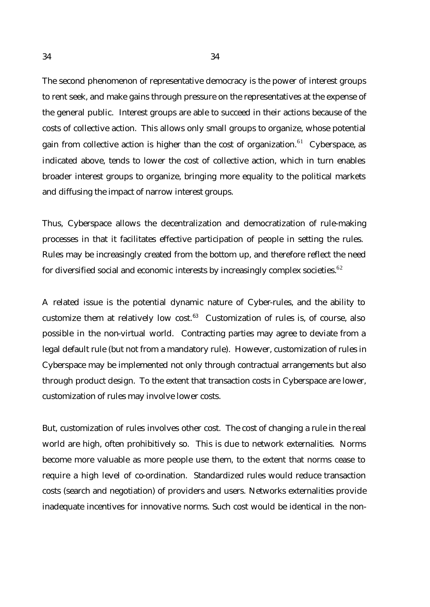The second phenomenon of representative democracy is the power of interest groups to rent seek, and make gains through pressure on the representatives at the expense of the general public. Interest groups are able to succeed in their actions because of the costs of collective action. This allows only small groups to organize, whose potential gain from collective action is higher than the cost of organization.<sup>61</sup> Cyberspace, as indicated above, tends to lower the cost of collective action, which in turn enables broader interest groups to organize, bringing more equality to the political markets and diffusing the impact of narrow interest groups.

Thus, Cyberspace allows the decentralization and democratization of rule-making processes in that it facilitates effective participation of people in setting the rules. Rules may be increasingly created from the bottom up, and therefore reflect the need for diversified social and economic interests by increasingly complex societies.<sup>62</sup>

A related issue is the potential dynamic nature of Cyber-rules, and the ability to customize them at relatively low cost. $63$  Customization of rules is, of course, also possible in the non-virtual world. Contracting parties may agree to deviate from a legal default rule (but not from a mandatory rule). However, customization of rules in Cyberspace may be implemented not only through contractual arrangements but also through product design. To the extent that transaction costs in Cyberspace are lower, customization of rules may involve lower costs.

But, customization of rules involves other cost. The cost of changing a rule in the real world are high, often prohibitively so. This is due to network externalities. Norms become more valuable as more people use them, to the extent that norms cease to require a high level of co-ordination. Standardized rules would reduce transaction costs (search and negotiation) of providers and users. Networks externalities provide inadequate incentives for innovative norms. Such cost would be identical in the non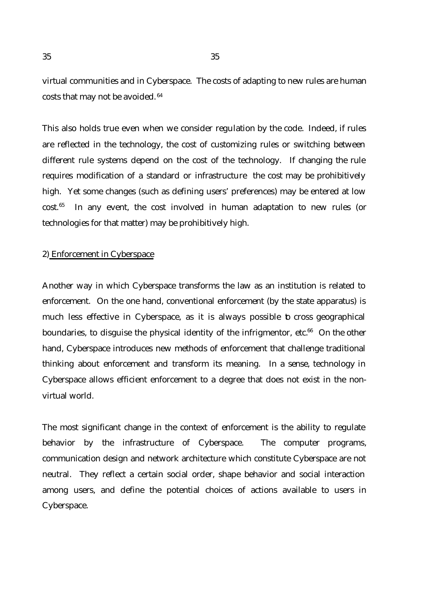virtual communities and in Cyberspace. The costs of adapting to new rules are human costs that may not be avoided. <sup>64</sup>

This also holds true even when we consider regulation by the code. Indeed, if rules are reflected in the technology, the cost of customizing rules or switching between different rule systems depend on the cost of the technology. If changing the rule requires modification of a standard or infrastructure the cost may be prohibitively high. Yet some changes (such as defining users' preferences) may be entered at low  $cost.<sup>65</sup>$  In any event, the cost involved in human adaptation to new rules (or technologies for that matter) may be prohibitively high.

### 2) Enforcement in Cyberspace

Another way in which Cyberspace transforms the law as an institution is related to enforcement. On the one hand, conventional enforcement (by the state apparatus) is much less effective in Cyberspace, as it is always possible to cross geographical boundaries, to disguise the physical identity of the infrigmentor, etc. $66$  On the other hand, Cyberspace introduces new methods of enforcement that challenge traditional thinking about enforcement and transform its meaning. In a sense, technology in Cyberspace allows efficient enforcement to a degree that does not exist in the nonvirtual world.

The most significant change in the context of enforcement is the ability to regulate behavior by the infrastructure of Cyberspace. The computer programs, communication design and network architecture which constitute Cyberspace are not neutral. They reflect a certain social order, shape behavior and social interaction among users, and define the potential choices of actions available to users in Cyberspace.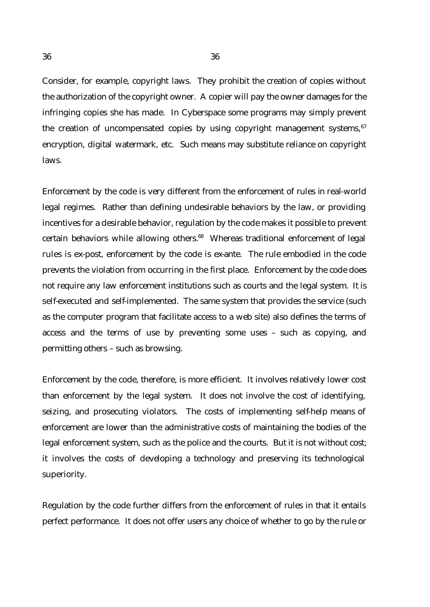$36$   $36$ 

Consider, for example, copyright laws. They prohibit the creation of copies without the authorization of the copyright owner. A copier will pay the owner damages for the infringing copies she has made. In Cyberspace some programs may simply prevent the creation of uncompensated copies by using copyright management systems, $67$ encryption, digital watermark, etc. Such means may substitute reliance on copyright laws.

Enforcement by the code is very different from the enforcement of rules in real-world legal regimes. Rather than defining undesirable behaviors by the law, or providing incentives for a desirable behavior, regulation by the code makes it possible to prevent certain behaviors while allowing others.<sup>68</sup> Whereas traditional enforcement of legal rules is ex-post, enforcement by the code is ex-ante. The rule embodied in the code prevents the violation from occurring in the first place. Enforcement by the code does not require any law enforcement institutions such as courts and the legal system. It is self-executed and self-implemented. The same system that provides the service (such as the computer program that facilitate access to a web site) also defines the terms of access and the terms of use by preventing some uses – such as copying, and permitting others – such as browsing.

Enforcement by the code, therefore, is more efficient. It involves relatively lower cost than enforcement by the legal system. It does not involve the cost of identifying, seizing, and prosecuting violators. The costs of implementing self-help means of enforcement are lower than the administrative costs of maintaining the bodies of the legal enforcement system, such as the police and the courts. But it is not without cost; it involves the costs of developing a technology and preserving its technological superiority.

Regulation by the code further differs from the enforcement of rules in that it entails perfect performance. It does not offer users any choice of whether to go by the rule or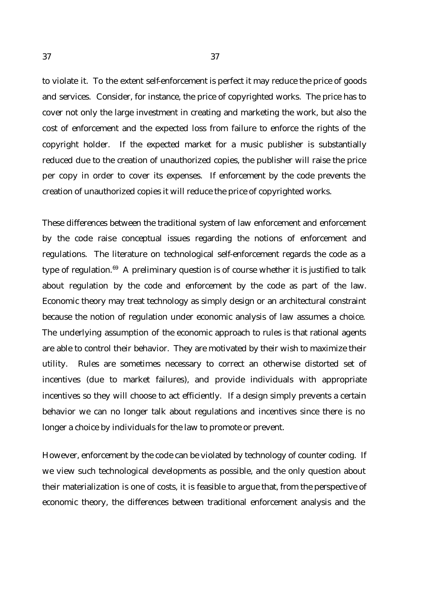to violate it. To the extent self-enforcement is perfect it may reduce the price of goods and services. Consider, for instance, the price of copyrighted works. The price has to cover not only the large investment in creating and marketing the work, but also the cost of enforcement and the expected loss from failure to enforce the rights of the copyright holder. If the expected market for a music publisher is substantially reduced due to the creation of unauthorized copies, the publisher will raise the price per copy in order to cover its expenses. If enforcement by the code prevents the creation of unauthorized copies it will reduce the price of copyrighted works.

These differences between the traditional system of law enforcement and enforcement by the code raise conceptual issues regarding the notions of enforcement and regulations. The literature on technological self-enforcement regards the code as a type of regulation. $^{69}$  A preliminary question is of course whether it is justified to talk about regulation by the code and enforcement by the code as part of the law. Economic theory may treat technology as simply design or an architectural constraint because the notion of regulation under economic analysis of law assumes a choice. The underlying assumption of the economic approach to rules is that rational agents are able to control their behavior. They are motivated by their wish to maximize their utility. Rules are sometimes necessary to correct an otherwise distorted set of incentives (due to market failures), and provide individuals with appropriate incentives so they will choose to act efficiently. If a design simply prevents a certain behavior we can no longer talk about regulations and incentives since there is no longer a choice by individuals for the law to promote or prevent.

However, enforcement by the code can be violated by technology of counter coding. If we view such technological developments as possible, and the only question about their materialization is one of costs, it is feasible to argue that, from the perspective of economic theory, the differences between traditional enforcement analysis and the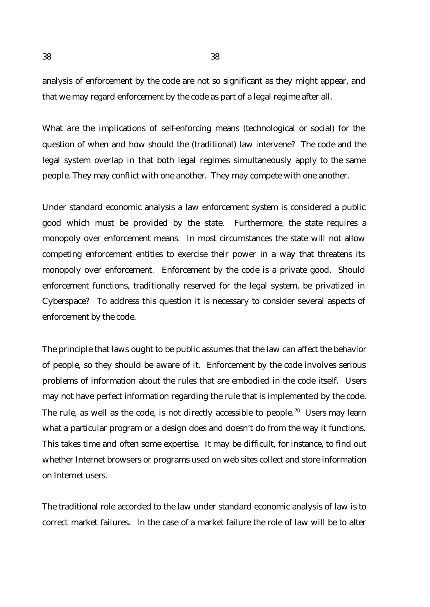analysis of enforcement by the code are not so significant as they might appear, and that we may regard enforcement by the code as part of a legal regime after all.

What are the implications of self-enforcing means (technological or social) for the question of when and how should the (traditional) law intervene? The code and the legal system overlap in that both legal regimes simultaneously apply to the same people. They may conflict with one another. They may compete with one another.

Under standard economic analysis a law enforcement system is considered a public good which must be provided by the state. Furthermore, the state requires a monopoly over enforcement means. In most circumstances the state will not allow competing enforcement entities to exercise their power in a way that threatens its monopoly over enforcement. Enforcement by the code is a private good. Should enforcement functions, traditionally reserved for the legal system, be privatized in Cyberspace? To address this question it is necessary to consider several aspects of enforcement by the code.

The principle that laws ought to be public assumes that the law can affect the behavior of people, so they should be aware of it. Enforcement by the code involves serious problems of information about the rules that are embodied in the code itself. Users may not have perfect information regarding the rule that is implemented by the code. The rule, as well as the code, is not directly accessible to people.<sup>70</sup> Users may learn what a particular program or a design does and doesn't do from the way it functions. This takes time and often some expertise. It may be difficult, for instance, to find out whether Internet browsers or programs used on web sites collect and store information on Internet users.

The traditional role accorded to the law under standard economic analysis of law is to correct market failures. In the case of a market failure the role of law will be to alter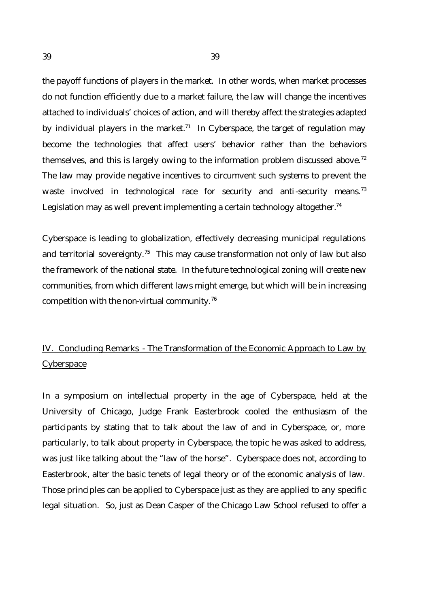the payoff functions of players in the market. In other words, when market processes do not function efficiently due to a market failure, the law will change the incentives attached to individuals' choices of action, and will thereby affect the strategies adapted by individual players in the market.<sup>71</sup> In Cyberspace, the target of regulation may become the technologies that affect users' behavior rather than the behaviors themselves, and this is largely owing to the information problem discussed above.<sup>72</sup> The law may provide negative incentives to circumvent such systems to prevent the waste involved in technological race for security and anti-security means.<sup>73</sup> Legislation may as well prevent implementing a certain technology altogether.<sup>74</sup>

Cyberspace is leading to globalization, effectively decreasing municipal regulations and territorial sovereignty.<sup>75</sup> This may cause transformation not only of law but also the framework of the national state. In the future technological zoning will create new communities, from which different laws might emerge, but which will be in increasing competition with the non-virtual community.<sup>76</sup>

# IV. Concluding Remarks - The Transformation of the Economic Approach to Law by **Cyberspace**

In a symposium on intellectual property in the age of Cyberspace, held at the University of Chicago, Judge Frank Easterbrook cooled the enthusiasm of the participants by stating that to talk about the law of and in Cyberspace, or, more particularly, to talk about property in Cyberspace, the topic he was asked to address, was just like talking about the "law of the horse". Cyberspace does not, according to Easterbrook, alter the basic tenets of legal theory or of the economic analysis of law. Those principles can be applied to Cyberspace just as they are applied to any specific legal situation. So, just as Dean Casper of the Chicago Law School refused to offer a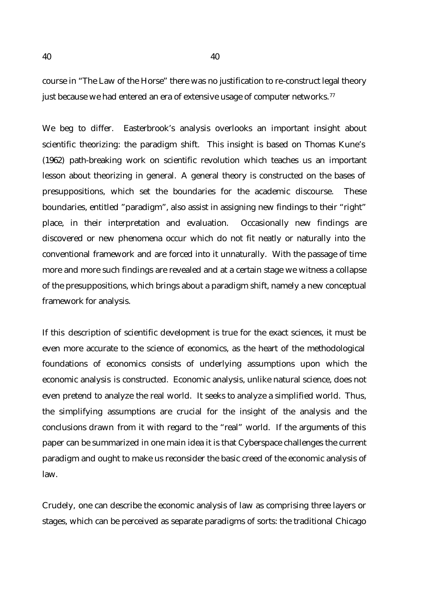course in "The Law of the Horse" there was no justification to re-construct legal theory just because we had entered an era of extensive usage of computer networks. $^\mathrm{77}$ 

We beg to differ. Easterbrook's analysis overlooks an important insight about scientific theorizing: the paradigm shift. This insight is based on Thomas Kune's (1962) path-breaking work on scientific revolution which teaches us an important lesson about theorizing in general. A general theory is constructed on the bases of presuppositions, which set the boundaries for the academic discourse. These boundaries, entitled "paradigm", also assist in assigning new findings to their "right" place, in their interpretation and evaluation. Occasionally new findings are discovered or new phenomena occur which do not fit neatly or naturally into the conventional framework and are forced into it unnaturally. With the passage of time more and more such findings are revealed and at a certain stage we witness a collapse of the presuppositions, which brings about a paradigm shift, namely a new conceptual framework for analysis.

If this description of scientific development is true for the exact sciences, it must be even more accurate to the science of economics, as the heart of the methodological foundations of economics consists of underlying assumptions upon which the economic analysis is constructed. Economic analysis, unlike natural science, does not even pretend to analyze the real world. It seeks to analyze a simplified world. Thus, the simplifying assumptions are crucial for the insight of the analysis and the conclusions drawn from it with regard to the "real" world. If the arguments of this paper can be summarized in one main idea it is that Cyberspace challenges the current paradigm and ought to make us reconsider the basic creed of the economic analysis of law.

Crudely, one can describe the economic analysis of law as comprising three layers or stages, which can be perceived as separate paradigms of sorts: the traditional Chicago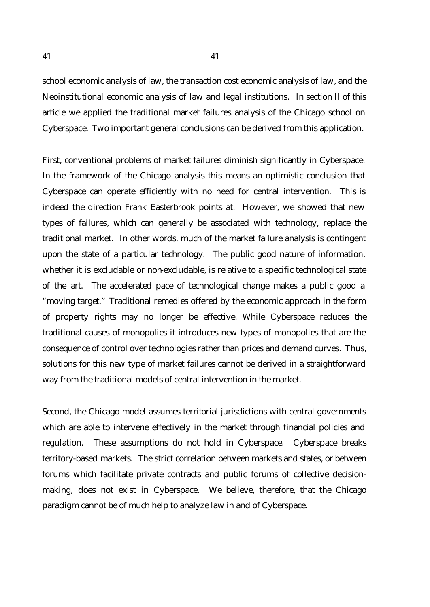school economic analysis of law, the transaction cost economic analysis of law, and the Neoinstitutional economic analysis of law and legal institutions. In section II of this article we applied the traditional market failures analysis of the Chicago school on Cyberspace. Two important general conclusions can be derived from this application.

First, conventional problems of market failures diminish significantly in Cyberspace. In the framework of the Chicago analysis this means an optimistic conclusion that Cyberspace can operate efficiently with no need for central intervention. This is indeed the direction Frank Easterbrook points at. However, we showed that new types of failures, which can generally be associated with technology, replace the traditional market. In other words, much of the market failure analysis is contingent upon the state of a particular technology. The public good nature of information, whether it is excludable or non-excludable, is relative to a specific technological state of the art. The accelerated pace of technological change makes a public good a "moving target." Traditional remedies offered by the economic approach in the form of property rights may no longer be effective. While Cyberspace reduces the traditional causes of monopolies it introduces new types of monopolies that are the consequence of control over technologies rather than prices and demand curves. Thus, solutions for this new type of market failures cannot be derived in a straightforward way from the traditional models of central intervention in the market.

Second, the Chicago model assumes territorial jurisdictions with central governments which are able to intervene effectively in the market through financial policies and regulation. These assumptions do not hold in Cyberspace. Cyberspace breaks territory-based markets. The strict correlation between markets and states, or between forums which facilitate private contracts and public forums of collective decisionmaking, does not exist in Cyberspace. We believe, therefore, that the Chicago paradigm cannot be of much help to analyze law in and of Cyberspace.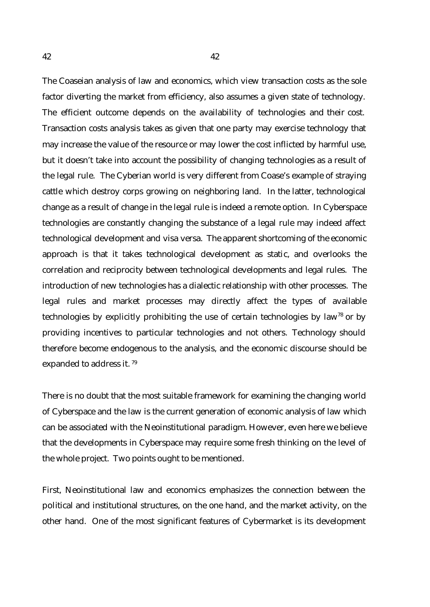The Coaseian analysis of law and economics, which view transaction costs as the sole factor diverting the market from efficiency, also assumes a given state of technology. The efficient outcome depends on the availability of technologies and their cost. Transaction costs analysis takes as given that one party may exercise technology that may increase the value of the resource or may lower the cost inflicted by harmful use, but it doesn't take into account the possibility of changing technologies as a result of the legal rule. The Cyberian world is very different from Coase's example of straying cattle which destroy corps growing on neighboring land. In the latter, technological change as a result of change in the legal rule is indeed a remote option. In Cyberspace technologies are constantly changing the substance of a legal rule may indeed affect technological development and visa versa. The apparent shortcoming of the economic approach is that it takes technological development as static, and overlooks the correlation and reciprocity between technological developments and legal rules. The introduction of new technologies has a dialectic relationship with other processes. The legal rules and market processes may directly affect the types of available technologies by explicitly prohibiting the use of certain technologies by law<sup>78</sup> or by providing incentives to particular technologies and not others. Technology should therefore become endogenous to the analysis, and the economic discourse should be expanded to address it. <sup>79</sup>

There is no doubt that the most suitable framework for examining the changing world of Cyberspace and the law is the current generation of economic analysis of law which can be associated with the Neoinstitutional paradigm. However, even here we believe that the developments in Cyberspace may require some fresh thinking on the level of the whole project. Two points ought to be mentioned.

First, Neoinstitutional law and economics emphasizes the connection between the political and institutional structures, on the one hand, and the market activity, on the other hand. One of the most significant features of Cybermarket is its development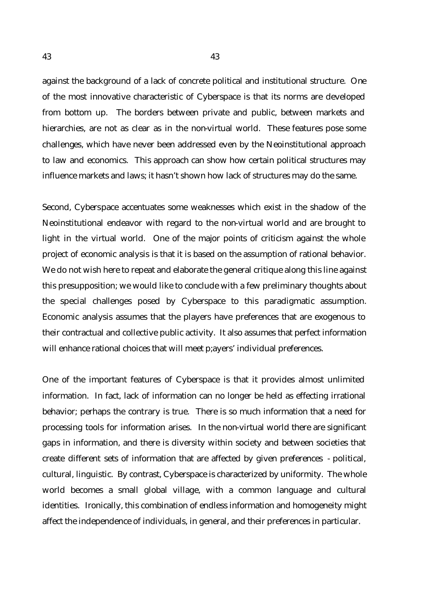against the background of a lack of concrete political and institutional structure. One of the most innovative characteristic of Cyberspace is that its norms are developed from bottom up. The borders between private and public, between markets and hierarchies, are not as clear as in the non-virtual world. These features pose some challenges, which have never been addressed even by the Neoinstitutional approach to law and economics. This approach can show how certain political structures may influence markets and laws; it hasn't shown how lack of structures may do the same.

Second, Cyberspace accentuates some weaknesses which exist in the shadow of the Neoinstitutional endeavor with regard to the non-virtual world and are brought to light in the virtual world. One of the major points of criticism against the whole project of economic analysis is that it is based on the assumption of rational behavior. We do not wish here to repeat and elaborate the general critique along this line against this presupposition; we would like to conclude with a few preliminary thoughts about the special challenges posed by Cyberspace to this paradigmatic assumption. Economic analysis assumes that the players have preferences that are exogenous to their contractual and collective public activity. It also assumes that perfect information will enhance rational choices that will meet p;ayers' individual preferences.

One of the important features of Cyberspace is that it provides almost unlimited information. In fact, lack of information can no longer be held as effecting irrational behavior; perhaps the contrary is true. There is so much information that a need for processing tools for information arises. In the non-virtual world there are significant gaps in information, and there is diversity within society and between societies that create different sets of information that are affected by given preferences - political, cultural, linguistic. By contrast, Cyberspace is characterized by uniformity. The whole world becomes a small global village, with a common language and cultural identities. Ironically, this combination of endless information and homogeneity might affect the independence of individuals, in general, and their preferences in particular.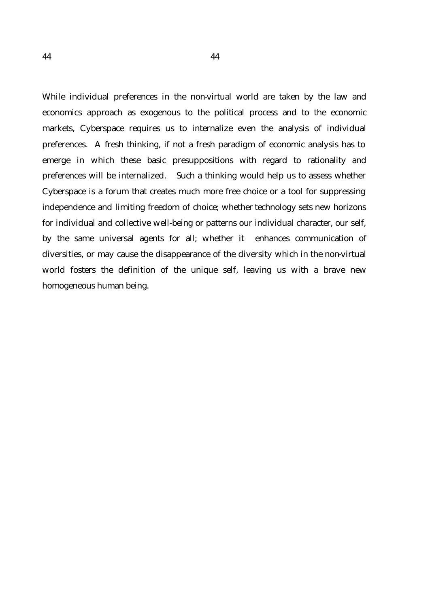While individual preferences in the non-virtual world are taken by the law and economics approach as exogenous to the political process and to the economic markets, Cyberspace requires us to internalize even the analysis of individual preferences. A fresh thinking, if not a fresh paradigm of economic analysis has to emerge in which these basic presuppositions with regard to rationality and preferences will be internalized. Such a thinking would help us to assess whether Cyberspace is a forum that creates much more free choice or a tool for suppressing independence and limiting freedom of choice; whether technology sets new horizons for individual and collective well-being or patterns our individual character, our self, by the same universal agents for all; whether it enhances communication of diversities, or may cause the disappearance of the diversity which in the non-virtual world fosters the definition of the unique self, leaving us with a brave new homogeneous human being.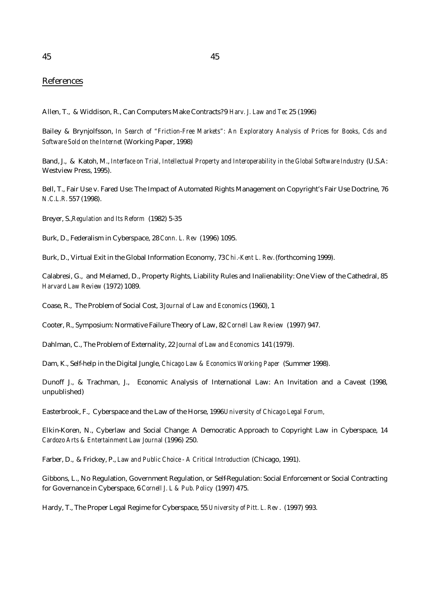### References

Allen, T., & Widdison, R., Can Computers Make Contracts? 9 *Harv. J. Law and Tec* 25 (1996)

Bailey & Brynjolfsson, *In Search of "Friction-Free Markets": An Exploratory Analysis of Prices for Books, Cds and Software Sold on the Internet* (Working Paper, 1998)

Band, J., & Katoh, M., *Interface on Trial, Intellectual Property and Interoperability in the Global Software Industry* (U.S.A: Westview Press, 1995).

Bell, T., Fair Use v. Fared Use: The Impact of Automated Rights Management on Copyright's Fair Use Doctrine, 76 *N.C.L.R.* 557 (1998).

Breyer, S.,*Regulation and Its Reform* (1982) 5-35

Burk, D., Federalism in Cyberspace, 28 *Conn. L. Rev* (1996) 1095.

Burk, D., Virtual Exit in the Global Information Economy, 73 *Chi.-Kent L. Rev.*(forthcoming 1999).

Calabresi, G., and Melamed, D., Property Rights, Liability Rules and Inalienability: One View of the Cathedral, 85 *Harvard Law Review* (1972) 1089.

Coase, R., The Problem of Social Cost, 3 *Journal of Law and Economics* (1960), 1

Cooter, R., Symposium: Normative Failure Theory of Law, 82 *Cornell Law Review* (1997) 947.

Dahlman, C., The Problem of Externality, 22 *Journal of Law and Economics* 141 (1979).

Dam, K., Self-help in the Digital Jungle, *Chicago Law & Economics Working Paper* (Summer 1998).

Dunoff J., & Trachman, J., Economic Analysis of International Law: An Invitation and a Caveat (1998, unpublished)

Easterbrook, F., Cyberspace and the Law of the Horse, 1996 *University of Chicago Legal Forum,*

Elkin-Koren, N., Cyberlaw and Social Change: A Democratic Approach to Copyright Law in Cyberspace, 14 *Cardozo Arts & Entertainment Law Journal* (1996) 250.

Farber, D., & Frickey, P., *Law and Public Choice - A Critical Introduction* (Chicago, 1991).

Gibbons, L., No Regulation, Government Regulation, or Self-Regulation: Social Enforcement or Social Contracting for Governance in Cyberspace, 6 *Cornell J. L & Pub. Policy* (1997) 475.

Hardy, T., The Proper Legal Regime for Cyberspace, 55 *University of Pitt. L. Rev* . (1997) 993.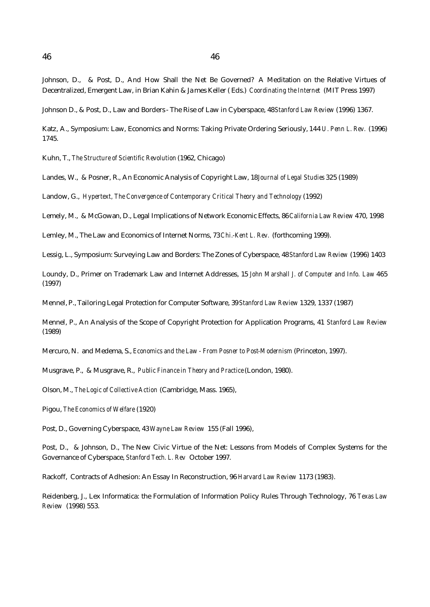Johnson, D., & Post, D., And How Shall the Net Be Governed? A Meditation on the Relative Virtues of Decentralized, Emergent Law, in Brian Kahin & Ja mes Keller ( Eds.) *Coordinating the Internet* (MIT Press 1997)

Johnson D., & Post, D., Law and Borders - The Rise of Law in Cyberspace, 48 *Stanford Law Review* (1996) 1367.

Katz, A., Symposium: Law, Economics and Norms: Taking Private Ordering Seriously, 144 *U. Penn L. Rev.* (1996) 1745.

Kuhn, T., *The Structure of Scientific Revolution* (1962, Chicago)

Landes, W., & Posner, R., An Economic Analysis of Copyright Law, 18 *Journal of Legal Studies* 325 (1989)

Landow, G., *Hypertext, The Convergence of Contemporary Critical Theory and Technology* (1992)

Lemely, M., & McGowan, D., Legal Implications of Network Economic Effects, 86 *California Law Review* 470, 1998

Lemley, M., The Law and Economics of Internet Norms, 73 *Chi.-Kent L. Rev.* (forthcoming 1999).

Lessig, L., Symposium: Surveying Law and Borders: The Zones of Cyberspace, 48 *Stanford Law Review* (1996) 1403

Loundy, D., Primer on Trademark Law and Internet Addresses, 15 *John Marshall J. of Computer and Info. Law* 465 (1997)

Mennel, P., Tailoring Legal Protection for Computer Software, 39 *Stanford Law Review* 1329, 1337 (1987)

Mennel, P., An Analysis of the Scope of Copyright Protection for Application Programs, 41 *Stanford Law Review*  (1989)

Mercuro, N. and Medema, S., *Economics and the Law - From Posner to Post-Modernism* (Princeton, 1997).

Musgrave, P., & Musgrave, R., *Public Finance in Theory and Practice* (London, 1980).

Olson, M., *The Logic of Collective Action* (Cambridge, Mass. 1965),

Pigou, *The Economics of Welfare* (1920)

Post, D., Governing Cyberspace, 43 *Wayne Law Review* 155 (Fall 1996),

Post, D., & Johnson, D., The New Civic Virtue of the Net: Lessons from Models of Complex Systems for the Governance of Cyberspace, *Stanford Tech. L. Rev* October 1997.

Rackoff, Contracts of Adhesion: An Essay In Reconstruction, 96 *Harvard Law Review* 1173 (1983).

Reidenberg, J., Lex Informatica: the Formulation of Information Policy Rules Through Technology, 76 *Texas Law Review* (1998) 553.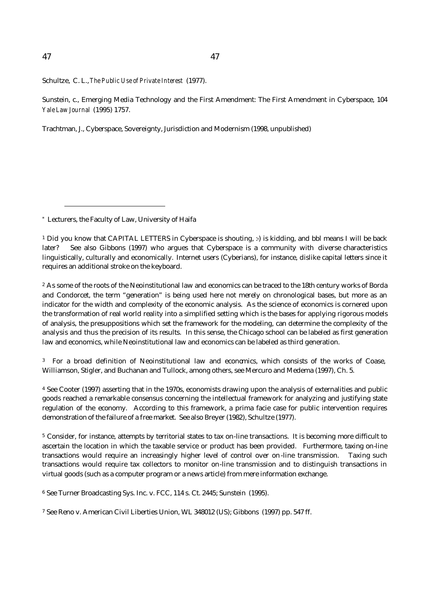Schultze, C. L., *The Public Use of Private Interest* (1977).

Sunstein, c., Emerging Media Technology and the First Amendment: The First Amendment in Cyberspace, 104 *Yale Law Journal* (1995) 1757.

Trachtman, J., Cyberspace, Sovereignty, Jurisdiction and Modernism (1998, unpublished)

<sup>2</sup> As some of the roots of the Neoinstitutional law and economics can be traced to the 18th century works of Borda and Condorcet, the term "generation" is being used here not merely on chronological bases, but more as an indicator for the width and complexity of the economic analysis. As the science of economics is cornered upon the transformation of real world reality into a simplified setting which is the bases for applying rigorous models of analysis, the presuppositions which set the framework for the modeling, can determine the complexity of the analysis and thus the precision of its results. In this sense, the Chicago school can be labeled as first generation law and economics, while Neoinstitutional law and economics can be labeled as third generation.

<sup>3</sup> For a broad definition of Neoinstitutional law and economics, which consists of the works of Coase, Williamson, Stigler, and Buchanan and Tullock, among others, see Mercuro and Medema (1997), Ch. 5.

<sup>4</sup> See Cooter (1997) asserting that in the 1970s, economists drawing upon the analysis of externalities and public goods reached a remarkable consensus concerning the intellectual framework for analyzing and justifying state regulation of the economy. According to this framework, a prima facie case for public intervention requires demonstration of the failure of a free market. See also Breyer (1982), Schultze (1977).

<sup>5</sup> Consider, for instance, attempts by territorial states to tax on-line transactions. It is becoming more difficult to ascertain the location in which the taxable service or product has been provided. Furthermore, taxing on-line transactions would require an increasingly higher level of control over on -line transmission. Taxing such transactions would require tax collectors to monitor on-line transmission and to distinguish transactions in virtual goods (such as a computer program or a news article) from mere information exchange.

<sup>6</sup> See Turner Broadcasting Sys. Inc. v. FCC, 114 s. Ct. 2445; Sunstein (1995).

7 See Reno v. American Civil Liberties Union, WL 348012 (US); Gibbons (1997) pp. 547 ff.

<sup>\*</sup> Lecturers, the Faculty of Law, University of Haifa

<sup>&</sup>lt;sup>1</sup> Did you know that CAPITAL LETTERS in Cyberspace is shouting, :-) is kidding, and bbl means I will be back later? See also Gibbons (1997) who argues that Cyberspace is a community with diverse characteristics linguistically, culturally and economically. Internet users (Cyberians), for instance, dislike capital letters since it requires an additional stroke on the keyboard.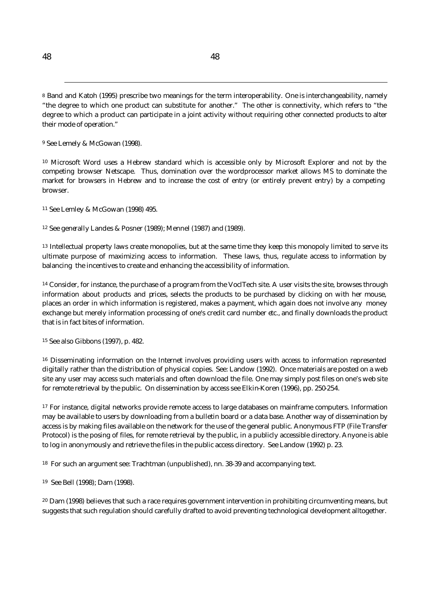<sup>8</sup> Band and Katoh (1995) prescribe two meanings for the term interoperability. One is interchangeability, namely "the degree to which one product can substitute for another." The other is connectivity, which refers to "the degree to which a product can participate in a joint activity without requiring other connected products to alter their mode of operation."

<sup>9</sup> See Lemely & McGowan (1998).

<sup>10</sup> Microsoft Word uses a Hebrew standard which is accessible only by Microsoft Explorer and not by the competing browser Netscape. Thus, domination over the wordprocessor market allows MS to dominate the market for browsers in Hebrew and to increase the cost of entry (or entirely prevent entry) by a competing browser.

<sup>11</sup> See Lemley & McGowan (1998) 495.

<sup>12</sup> See generally Landes & Posner (1989); Mennel (1987) and (1989).

<sup>13</sup> Intellectual property laws create monopolies, but at the same time they keep this monopoly limited to serve its ultimate purpose of maximizing access to information. These laws, thus, regulate access to information by balancing the incentives to create and enhancing the accessibility of information.

<sup>14</sup> Consider, for instance, the purchase of a program from the VoclTech site. A user visits the site, browses through information about products and prices, selects the products to be purchased by clicking on with her mouse, places an order in which information is registered, makes a payment, which again does not involve any money exchange but merely information processing of one's credit card number etc., and finally downloads the product that is in fact bites of information.

<sup>15</sup> See also Gibbons (1997), p. 482.

<sup>16</sup> Disseminating information on the Internet involves providing users with access to information represented digitally rather than the distribution of physical copies. See: Landow (1992). Once materials are posted on a web site any user may access such materials and often download the file. One may simply post files on one's web site for remote retrieval by the public. On dissemination by access see Elkin-Koren (1996), pp. 250-254.

<sup>17</sup> For instance, digital networks provide remote access to large databases on mainframe computers. Information may be available to users by downloading from a bulletin board or a data base. Another way of dissemination by access is by making files available on the network for the use of the general public. Anonymous FTP (File Transfer Protocol) is the posing of files, for remote retrieval by the public, in a publicly accessible directory. Anyone is able to log in anonymously and retrieve the files in the public access directory. See Landow (1992) p. 23.

<sup>18</sup> For such an argument see: Trachtman (unpublished), nn. 38-39 and accompanying text.

<sup>19</sup> See Bell (1998); Dam (1998).

<sup>20</sup> Dam (1998) believes that such a race requires government intervention in prohibiting circumventing means, but suggests that such regulation should carefully drafted to avoid preventing technological development alltogether.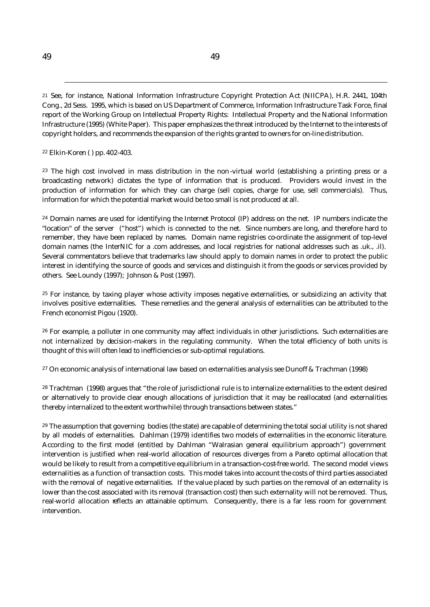<sup>21</sup> See, for instance, National Information Infrastructure Copyright Protection Act (NIICPA), H.R. 2441, 104th Cong., 2d Sess. 1995, which is based on US Department of Commerce, Information Infrastructure Task Force, final report of the Working Group on Intellectual Property Rights: Intellectual Property and the National Information Infrastructure (1995) (White Paper). This paper emphasizes the threat introduced by the Internet to the interests of copyright holders, and recommends the expansion of the rights granted to owners for on-line distribution.

<sup>22</sup> Elkin-Koren ( ) pp. 402-403.

<sup>23</sup> The high cost involved in mass distribution in the non-virtual world (establishing a printing press or a broadcasting network) dictates the type of information that is produced. Providers would invest in the production of information for which they can charge (sell copies, charge for use, sell commercials). Thus, information for which the potential market would be too small is not produced at all.

<sup>24</sup> Domain names are used for identifying the Internet Protocol (IP) address on the net. IP numbers indicate the "location" of the server ("host") which is connected to the net. Since numbers are long, and therefore hard to remember, they have been replaced by names. Domain name registries co-ordinate the assignment of top-level domain names (the InterNIC for a .com addresses, and local registries for national addresses such as .uk., .il). Several commentators believe that trademarks law should apply to domain names in order to protect the public interest in identifying the source of goods and services and distinguish it from the goods or services provided by others. See Loundy (1997); Johnson & Post (1997).

<sup>25</sup> For instance, by taxing player whose activity imposes negative externalities, or subsidizing an activity that involves positive externalities. These remedies and the general analysis of externalities can be attributed to the French economist Pigou (1920).

<sup>26</sup> For example, a polluter in one community may affect individuals in other jurisdictions. Such externalities are not internalized by decision-makers in the regulating community. When the total efficiency of both units is thought of this will often lead to inefficiencies or sub-optimal regulations.

<sup>27</sup> On economic analysis of international law based on externalities analysis see Dunoff & Trachman (1998)

<sup>28</sup> Trachtman (1998) argues that "the role of jurisdictional rule is to internalize externalities to the extent desired or alternatively to provide clear enough allocations of jurisdiction that it may be reallocated (and externalities thereby internalized to the extent worthwhile) through transactions between states."

<sup>29</sup> The assumption that governing bodies (the state) are capable of determining the total social utility is not shared by all models of externalities. Dahlman (1979) identifies two models of externalities in the economic literature. According to the first model (entitled by Dahlman "Walrasian general equilibrium approach") government intervention is justified when real-world allocation of resources diverges from a Pareto optimal allocation that would be likely to result from a competitive equilibrium in a transaction-cost-free world. The second model views externalities as a function of transaction costs. This model takes into account the costs of third parties associated with the removal of negative externalities. If the value placed by such parties on the removal of an externality is lower than the cost associated with its removal (transaction cost) then such externality will not be removed. Thus, real-world allocation reflects an attainable optimum. Consequently, there is a far less room for government intervention.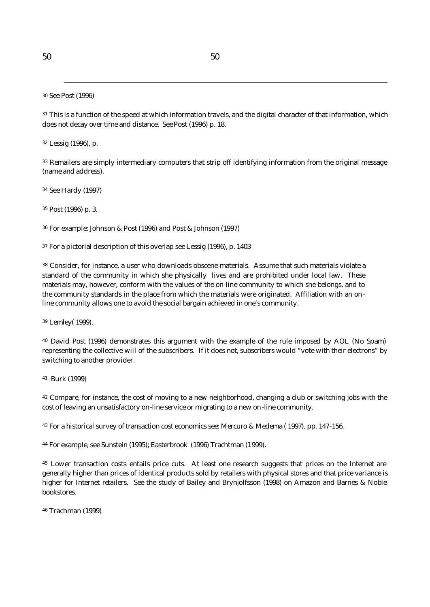$50$  50

<sup>30</sup> See Post (1996)

 $\overline{a}$ 

<sup>31</sup> This is a function of the speed at which information travels, and the digital character of that information, which does not decay over time and distance. See Post (1996) p. 18.

<sup>32</sup> Lessig (1996), p.

<sup>33</sup> Remailers are simply intermediary computers that strip off identifying information from the original message (name and address).

<sup>34</sup> See Hardy (1997)

<sup>35</sup> Post (1996) p. 3.

<sup>36</sup> For example: Johnson & Post (1996) and Post & Johnson (1997)

<sup>37</sup> For a pictorial description of this overlap see Lessig (1996), p. 1403

<sup>38</sup> Consider, for instance, a user who downloads obscene materials. Assume that such materials violate a standard of the community in which she physically lives and are prohibited under local law. These materials may, however, conform with the values of the on-line community to which she belongs, and to the community standards in the place from which the materials were originated. Affiliation with an on line community allows one to avoid the social bargain achieved in one's community.

<sup>39</sup> Lemley( 1999).

<sup>40</sup> David Post (1996) demonstrates this argument with the example of the rule imposed by AOL (No Spam) representing the collective will of the subscribers. If it does not, subscribers would "vote with their electrons" by switching to another provider.

<sup>41</sup> Burk (1999)

<sup>42</sup> Compare, for instance, the cost of moving to a new neighborhood, changing a club or switching jobs with the cost of leaving an unsatisfactory on-line service or migrating to a new on -line community.

<sup>43</sup> For a historical survey of transaction cost economics see: Mercuro & Medema ( 1997), pp. 147-156.

<sup>44</sup> For example, see Sunstein (1995); Easterbrook (1996) Trachtman (1999).

<sup>45</sup> Lower transaction costs entails price cuts. At least one research suggests that prices on the Internet are generally higher than prices of identical products sold by retailers with physical stores and that price variance is higher for Internet retailers. See the study of Bailey and Brynjolfsson (1998) on Amazon and Barnes & Noble bookstores.

46 Trachman (1999)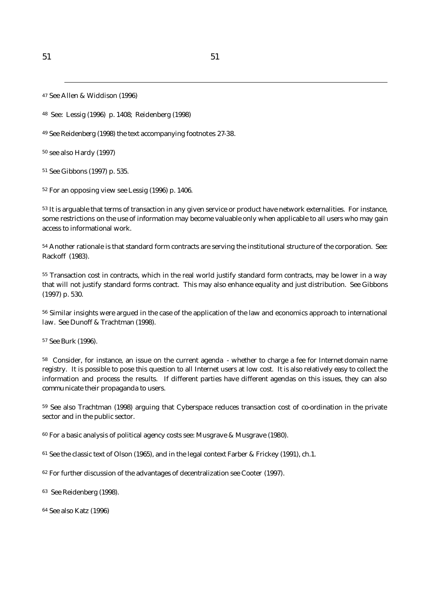- See: Lessig (1996) p. 1408; Reidenberg (1998)
- See Reidenberg (1998) the text accompanying footnotes 27-38.

see also Hardy (1997)

See Gibbons (1997) p. 535.

For an opposing view see Lessig (1996) p. 1406.

 It is arguable that terms of transaction in any given service or product have network externalities. For instance, some restrictions on the use of information may become valuable only when applicable to all users who may gain access to informational work.

 Another rationale is that standard form contracts are serving the institutional structure of the corporation. See: Rackoff (1983).

 Transaction cost in contracts, which in the real world justify standard form contracts, may be lower in a way that will not justify standard forms contract. This may also enhance equality and just distribution. See Gibbons (1997) p. 530.

 Similar insights were argued in the case of the application of the law and economics approach to international law. See Dunoff & Trachtman (1998).

See Burk (1996).

 Consider, for instance, an issue on the current agenda - whether to charge a fee for Internet domain name registry. It is possible to pose this question to all Internet users at low cost. It is also relatively easy to collect the information and process the results. If different parties have different agendas on this issues, they can also communicate their propaganda to users.

 See also Trachtman (1998) arguing that Cyberspace reduces transaction cost of co-ordination in the private sector and in the public sector.

For a basic analysis of political agency costs see: Musgrave & Musgrave (1980).

See the classic text of Olson (1965), and in the legal context Farber & Frickey (1991), ch.1.

For further discussion of the advantages of decentralization see Cooter (1997).

See Reidenberg (1998).

See also Katz (1996)

See Allen & Widdison (1996)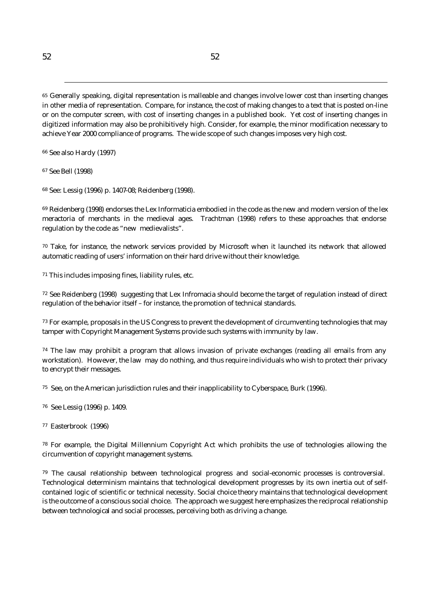<sup>65</sup> Generally speaking, digital representation is malleable and changes involve lower cost than inserting changes in other media of representation. Compare, for instance, the cost of making changes to a text that is posted on-line or on the computer screen, with cost of inserting changes in a published book. Yet cost of inserting changes in digitized information may also be prohibitively high. Consider, for example, the minor modification necessary to achieve Year 2000 compliance of programs. The wide scope of such changes imposes very high cost.

<sup>66</sup> See also Hardy (1997)

<sup>67</sup> See Bell (1998)

 $\overline{a}$ 

<sup>68</sup> See: Lessig (1996) p. 1407-08; Reidenberg (1998).

<sup>69</sup> Reidenberg (1998) endorses the Lex Informaticia embodied in the code as the new and modern version of the lex meractoria of merchants in the medieval ages. Trachtman (1998) refers to these approaches that endorse regulation by the code as "new medievalists".

<sup>70</sup> Take, for instance, the network services provided by Microsoft when it launched its network that allowed automatic reading of users' information on their hard drive without their knowledge.

<sup>71</sup> This includes imposing fines, liability rules, etc.

<sup>72</sup> See Reidenberg (1998) suggesting that Lex Infromacia should become the target of regulation instead of direct regulation of the behavior itself – for instance, the promotion of technical standards.

<sup>73</sup> For example, proposals in the US Congress to prevent the development of circumventing technologies that may tamper with Copyright Management Systems provide such systems with immunity by law.

<sup>74</sup> The law may prohibit a program that allows invasion of private exchanges (reading all emails from any workstation). However, the law may do nothing, and thus require individuals who wish to protect their privacy to encrypt their messages.

<sup>75</sup> See, on the American jurisdiction rules and their inapplicability to Cyberspace, Burk (1996).

- <sup>76</sup> See Lessig (1996) p. 1409.
- <sup>77</sup> Easterbrook (1996)

<sup>78</sup> For example, the Digital Millennium Copyright Act which prohibits the use of technologies allowing the circumvention of copyright management systems.

<sup>79</sup> The causal relationship between technological progress and social-economic processes is controversial. Technological determinism maintains that technological development progresses by its own inertia out of selfcontained logic of scientific or technical necessity. Social choice theory maintains that technological development is the outcome of a conscious social choice. The approach we suggest here emphasizes the reciprocal relationship between technological and social processes, perceiving both as driving a change.